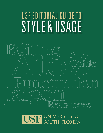# USF EDITORIAL GUIDE TO STYLE & USAGE



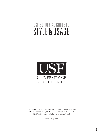## USF EDITORIAL GUIDE TO STYLE & USAGE



University of South Florida | University Communications & Marketing 4202 E. Fowler Avenue, STOP CGS301 | Tampa, FL 33620-4301 813-974-4014 | ucm@usf.edu | www.usf.edu/brand

Revised May 2013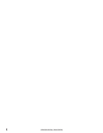## An Editorial Guide to Style & Usage | University of South Florida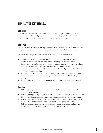## UNIVERSITY OF SOUTH FLORIDA

### USF Mission

The University of South Florida's Mission is to deliver competitive undergraduate, graduate, and professional programs, to generate knowledge, foster intellectual development, and ensure student success in a global environment.

### USF Vision

The University of South Florida is a global research university dedicated to student success and positioned for membership in the Association of American Universities (AAU).

As Florida's leading metropolitan research university, USF is dedicated to:

- • Student access, learning, and success through a vibrant, interdisciplinary and learner-centered research environment incorporating a global curriculum
- Research and scientific discovery to strengthen the economy, promote civic culture and the arts, and design and build sustainable communities through the generation, dissemination, and translation of new knowledge across all academic and health-related disciplines
- Partnerships to build significant locally- and globally-integrated university-community collaborations through sound scholarly and artistic activities and technological innovation
- • A sustainable economic base to support USF's continued academic advancement

### **Priorities**

- • USF will, through a continued commitment to student success, produce well educated global citizens.
- USF will, through its high-impact research and innovation, change lives for the better, improve health, and foster sustainable development and positive societal change.
- • USF will, as a highly effective major economic engine, create new partnerships to build a strong and sustainable future for Florida in the global economy.
- USF will pursue a more secure economic base, greater operational and resource efficiencies, and increased transparency in its business practices.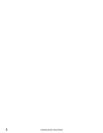## $\overline{\mathbf{a}}$ n Editorial Guide to Style & Usage | University of South Florida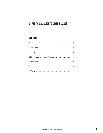## USF EDITORIAL GUIDE TO STYLE & USAGE

## **Contents**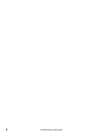## An Editorial Guide to Style & Usage | University of South Florida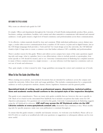### USF GUIDE TO STYLE & USAGE

Why create an editorial style guide for USF?

It's simple. Offices and departments throughout the University of South Florida independently produce fliers, posters, brochures, catalogs, newsletters, booklets, web content and other materials to communicate with internal and external audiences. A style guide ensures a high level of brand consistency and professionalism across these communications.

To be effective, written materials should be clear and consistent. While individual publications convey distinct messages, a reader often receives communications from a number of USF sources, in print and in digital formats. Just as the *USF Design Language Deck* provides a "look and feel" for visual design across the university, the *USF Editorial Guide to Style & Usage* aims to create a common voice that further enhances USF's credibility and professionalism.

There's another reason for this guide. Writers and editors across campus have many of the same questions regarding style and usage: what to capitalize, how to use abbreviations, when to include periods or apostrophes, how terms specific to USF should be treated, and so on. University Communications & Marketing has compiled answers to many of these common issues in a single resource — an easy reference tool that improves consistency and correct use of words and references.

That, quite simply, is what is meant by style. Usage guidelines encourage the correct and consistent use of words.

### When To Use This Guide (And When Not)

When creating non-academic, non-technical documents that are intended for audiences across the campus and outside the university, follow these style and usage guidelines. This includes communications for a campuswide audience as well as prospective students, alumni, donors, legislators, businesses and the general public.

### Specialized kinds of writing, such as professional papers, dissertations, technical publications and academic works should conform to the accepted style of the respective discipline.

This guide is not comprehensive. There are many style guides available that are; however, this one is specific to USF. Much of it is based on the *Associated Press Stylebook*, but it includes exceptions that make sense for USF objectives and purposes. For questions not covered in this guide, University Communications & Marketing suggests using the *AP Stylebook* for reference. USF staff may access the AP Stylebook online via the USF Libraries website at www.apstylebook.com/usf\_edu. Remember that consistency is key. When modifying style for specific purposes, make sure your publication is consistant throughout.

To ensure that this guide remains a valuable and dynamic resource, we welcome your feedback. Please call us at 813-974-4014 or e-mail us at ucm@usf.edu with your questions or suggestions so subsequent editions can be even more useful.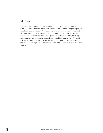### A TO Z Guide

Entries in this section are organized alphabetically. Most entries include an explanation, some short and others more lengthy, with accompanying examples or lists. Some entries include a "See also" reference to a related entry where additional information can be found on the topic. Other entries such as database or testbed stand by themselves with no explanation because the entry, itself, represents the correct spelling or usage of the word. Finally, there are a few entries that are included simply for cross-reference purposes — to lead you to the entry that includes the explanation; for example, the entry academic courses, says "See courses."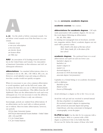

**a, an** Use the article *a* before consonant sounds. Use *an* before vowel sounds even if the first letter is a consonant.

*a* historic event *a* one-year subscription *a* two-ton truck *an* electric shock *an* honest effort *an* NBA star

AAU An association of 62 leading research universities in the United States and Canada. Use *Association of American Universities* on first reference and *AAU* on subsequent references.

**abbreviations** Use standard abbreviations when it is customary to do so: *Mr., Mrs., USF, YMCA, NFL, a.m., etc.* However, avoid alphabet soup and using an abbreviation that a reader would not quickly recognize.

When it is necessary to use a less common abbreviation to avoid repetition, spell out the full word, name, title or phrase the first time you use it, followed immediately by the acronym in parentheses. (This differs from the *AP Stylebook*.) Then use the abbreviation for each and every subsequent use. It is not necessary to note the abbreviation in parentheses if there is only one reference.

Increasingly, periods are omitted from abbreviations. If an abbreviation can be used with or without periods, use it without. Most two-letter abbreviations, however, use periods.

*SUS for State University System IOI-USA for International Ocean Institute - United States ABC, CIA and FBI U.S. for United States U.N. for United Nations*

### See also **acronyms**, **academic degrees**.

**academic courses** See courses.

abbreviations for academic degrees USF style omits punctuation with academic degrees. Do not use the word *degree* following an abbreviation.

*BA, MS, PhD, MBA* In running text (paragraph form in brochures, newsletters, magazine articles, flyers), academic degrees are not used with a person's name.

> *Mary Smith is the dean of the law school. NOT: Mary Smith, JD, is the dean of the law school.*

**academic degrees** The preferred form is to avoid abbreviations and spell out and use lower case.

*bachelor's degree in bachelor's in master's degree in master's in doctoral degree in doctorate in (NOT doctorate degree) associate degree (not possessive)*

Capitalize in a formal listing or on academic documents such as diplomas. *Bachelor of Arts Master of Arts Doctor of Philosophy*

Avoid referring to a degree as *his* or *her*. Use *a* or *an*.

Avoid the verb *got* and use *received* or *earned* instead. *She has a bachelor's in mathematics. He received a master's degree in engineering. John earned an associate degree last spring. Clyde Brown, who has a doctorate in biological oceanography, wrote the paper.*

**Dr./PhD in text:** Use the title Dr. for someone with a medical degree. Refer to a person with a PhD degree as professor if she or he holds that title. Do not use Dr. before the names of those who hold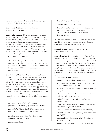honorary degrees only. References to honorary degrees must specify the degree was honorary.

academic departments See divisions and affiliates of the university.

**academic papers** When citing the name of an academic paper or journal article, capitalize the principal words, including prepositions and conjunctions of four or more letters. Capitalize articles such as a, an, or the or words of fewer letters if it is the first or last word in a title. Put quotation marks around the name of the article. If the name of the journal or magazine in which the article appears is used with the title, place it in italics. (If running text is already in italics, place the title in Roman type.)

Their study, "Early Evidence on the Effects of Regulated Suicidality Warnings on SSRI Prescriptions and Suicide in Children and Adolescents," appears in the September 2007 issue of the American Journal of Psychiatry.

**academic titles** Capitalize and spell out formal titles when they directly precede a name. Lowercase title and uppercase formal department designation when following a name or when appearing without a name. In general, do not capitalize occupational descriptions or identifiers, even if they appear directly before a name. Do capitalize academic titles, such as Professor, when the title comes before the name. (This differs from the AP Stylebook.) Following are some examples of how various academic titles might appear in text:

*President Judy Genshaft; Judy Genshaft, president of the University of South Florida System*

*Provost Ralph Wilcox; Ralph Wilcox, provost and executive vice president for the USF System*

*John Doe, chair of the Chemistry Department; John Doe, department chair*

*Professor Jane Smith*

### *Associate Professor Paula Jones*

*Professor Emeritus Susan Johnson*

*Associate Vice President of Government Relations Jim Smith is visiting our campus today. The associate vice president for Government Relations is here.*

In news releases and articles, an individual's full name and title are used only on a first reference. On subsequent references, use just the last name.

accept, except *Accept* means to receive. *Except* means to exclude.

**accreditation** The Commission on Colleges of the Southern Association of Colleges and Schools (SACS) is the recognized regional accrediting body in Florida. Following is a list of specialized accreditations, broken out by institution. On a first or only reference to an accrediting body, use the full name of the agency. If you will be referring to the agency again, include the acronym in parentheses and then use the acronym on subsequent references.

### *University of South Florida*

National Architectural Accrediting Board, Inc. (NAAB) Accrediting Council on Education in Journalism and Mass Communications (ACEJMC)

Accreditation Board for Engineering and Technology, Inc. (ABET)

AACSB International – The Association to Advance Collegiate Schools of Business

National Council for Accreditation of Teacher Education (NCATE)

Council for Accreditation of Counseling and Related Educational Programs (CACREP)

National Association of Schools of Music (NASM)

Accreditation Board for Engineering and Technology, Inc. (ABET)

American Library Association (ALA) Committee on Accreditation (CoA)

National Association of School Psychologists (NASP)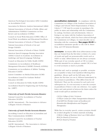American Psychological Association (APA) Committee on Accreditation (CoA)

Association for Behavior Analysis International (ABAI)

National Association of Schools of Public Affairs and Administration (NASPAA) Commission on Peer Review and Accreditation (COPRA)

 Council on Social Work Education (CSWE) Office of Social Work Accreditation and Educational Excellence

National Association of Schools of Theatre (NAST)

National Association of Schools of Art and Design (NASAD)

National Association of Schools of Music (NASM)

American Speech-Language-Hearing Association (ASHA) Council on Academic Accreditation in Audiology and Speech-Language Pathology

Council on Education for Public Health (CEPH)

Commission on Accreditation of Healthcare Management Education (CAHME) (formerly ACEHSA)

Commission on Accreditation of Athletic Training Education (CAATE)

Liaison Committee on Medical Education (LCME)

Accreditation Council for Graduate Medical Education (ACGME)

Council on Education for Public Health (CEPH)

Accreditation Board for Engineering and Technology, Inc. (ABET)

### *University of South Florida Sarasota-Manatee*

National Council for Accreditation of Teacher Education (NCATE)

AACSB International – The Association to Advance Collegiate Schools of Business

### *University of South Florida Sarasota-Manatee*

Accrediting Council on Education in Journalism and Mass Communications (ACEJMC)

National Council for Accreditation of Teacher Education (NCATE)

AACSB International – The Association to Advance Collegiate Schools of Business

**accreditation statement** In compliance with the Commission on Colleges of the Southern Association of Colleges and Schools (SACS) Representation of Status, Criteria 1.7, USF must be accurate in reporting to the public its status and relationship with the Commission. In catalogs, brochures and advertisements, when referring to our status with the Southern Association of Colleges and Schools, which has been achieved through the Commission on Colleges, we must describe our relationship with the commission. See pages 46-49 for accreditation statements specific to *USF, USF St. Petersburg*, and *USF Sarasota-Manatee*.

**acronyms** Acronyms differ from abbreviations in that they are formed from the first letter or letters of a series of words and spell out pronounceable words such as NATO or radar. Abbreviations are not always acronyms. While part of our everyday speech at USF, in written materials intended for an audience outside USF, it is best to avoid acronyms as much as possible.

With that said, used as sparingly as possible, acronyms are acceptable to help avoid repetition following these guidelines. Always spell out the full name, title or phrase the first time you use it, followed immediately by the acronym in parentheses. (This differs from the AP Stylebook.) Then use the acronym for each and every subsequent use. It is not necessary to note the acronym in parentheses if there is only one reference. Use capital letters and omit periods in between the letters unless the result would spell an unrelated word.

*CAS for College of Arts & Sciences CUTR for Center for Urban Transportation Research FCoE-BITT for Florida Center of Excellence for Biomolecular Identification and Targeted Therapeutics*

While fine in everyday speech, certain acronyms should be avoided altogether in written materials including: *COB for College of Business (don't use COBA either) BOG for Board of Governors BOT for Board of Trustees*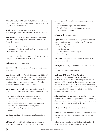ACT, SAT, LSAT, GMAT, GRE, MAT, MCAT, and other entrance examination titles usually don't need to be spelled out, even on first reference.

ACT Stands for American College Test. ACT is acceptable on a first reference. Do not use periods.

**addresses** In editorial copy, use the abbreviations *Ave., Blvd.* and St. only with a numbered address: 1600 Pennsylvania Ave.

Spell them out when part of a formal street name without a number. All similar words such as drive, road and circle are always spelled out.

For correct format for return correspondence, contact the USF post office for current USF standards.

adjuncts Part-time instructors.

administration Lowercase. *Faculty* and *staff* are also lowercase.

**admissions office** The official names are: Office of Undergraduate Admissions, Office of Graduate Admissions and Office of MD Admissions. You may use admissions office on a second reference or informally, but lowercase and remember, no apostrophe.

adverse, averse Adverse means unfavorable. It implies opposition and is usually used in relation to a thing or action.

*He had an adverse reaction to the medication. The adverse weather conditions made driving hazardous.*

*Averse means reluctant. It implies unwillingness and is usually used in relation to a person. I am not averse to going to the party; I just can't dance.*

advisor, adviser Both are correct, but *adviser* is preferred.

**affect, effect** *Affect* (verb) means to influence. *Effect* (verb) means to cause. *Effect* (noun) means a result. If you're looking for a noun, you're probably looking for effect.

*His decision will affect the entire family. She will effect many changes in the company. The effect was stunning.*

**afterward** Not afterwards.

**ages** Always use numerals for people or animals but not for inanimate objects. Use hyphens for ages expressed as adjectives.

*He has a 3-year-old son. He is 3 years old. She is in her 30s. (no apostrophe.) The law is eight years old.*

aid, aide *Aid* is assistance. An *aide* is someone who serves as an assistant.

**all right** Not alright. Hyphenate only as a unit modifier:

*I am an all-right tennis player.*

### (John and Grace) Allen Building

As the founding president of USF, Dr. John S. Allen (1907-1982) designed the Tampa campus and the first curriculum. He epitomized the university's early slogan "Accent on Learning." His wife, Grace Allen (1908-2007), was active in bringing the community to the campus and starting the first USF women's club. Fittingly, USF's first building was named for them.

**allude, elude, refer** *Allude* is to make an indirect reference to something; to speak of without mentioning. *Elude* means to avoid, evade or escape from a person or thing. To *refer* means to speak of directly.

allusion, illusion See illusion, allusion.

**a lot** Not alot. But there are many other word choices that are more precise so try to avoid *a lot, a whole lot, lots* and *lots of*.

**altar, alter** An altar is a table-like platform for religious ceremonies. To *alter* means to change.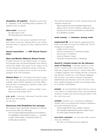altogether, all together *Altogether* means wholly, completely, in all, everything being considered. *All together* means in a group.

alma mater Lowercase. *My alma mater is USF. The band played the alma mater.*

**alumni** Refers to any group of graduates both men and women or just men. *Alumna* refers to one woman. *Alumnae* refers to a group of women. *Alumnus* refers to one man.

### alumni association See USF Alumni Association.

### (Sam and Martha Gibbons) Alumni Center

Formally referred to as the Alumni Center, it is named for long-time state and national legislator Sam Gibbons and his wife Martha. Sam, known as the "Father of USF," was the driving force behind the creation of both the university and its medical school. He also was the first president of the USF Foundation.

*Alumni Voice* The USF Alumni Association's magazine. Sent to dues-paying association members and also available online. Italicize magazine in text (this differs from AP style). If running text is already in italics, place the title in roman type.

*Did you read the article, "An Envoy of Hope" in the latest issue of the* Alumni Voice*?*

**a.m., p.m.** Lowercase, with period. Avoid the redundant 10 a.m. this morning. See also time.

### Americans with Disabilities Act message

The required equal opportunity statement for advertisements should reflect the following:

*USF is an Equal Opportunity/Equal Access Institution. For disability accommodations contact \_\_\_\_ at (phone number/ TDD number), a minimum of five (5) working days in advance.*

The preferred statement for events, announcements and calendars should read:

*Please notify the Diversity and Equal Opportunity Office at (813) 974-4373, ADM172, within five working days of an event if a reasonable accommodation for a disability is needed.*

### amid, among See between, among, amid.

**ampersand (&)** Avoid using the ampersand in the body of text unless it is part of an official title. The following use an ampersand:

*College of Arts & Sciences School of Architecture & Community Design School of Art & Art History School of Theatre & Dance University Communications & Marketing*

### (David C.) Anchin Center for the Advance-

**ment of Teaching** Commonly referred to as the David C. Anchin Center or the Anchin Center. It was built with a bequest from David C. Anchin (1904-1990), a longtime supporter and a leading advocate of reinventing education. Anchin was a poor Russian immigrant who became a successful accountant, businessman, philanthropist and education activist. He and his wife, Anne, initiated programs focused on developing character in Florida schoolchildren.

**annual** An event should be held at least two years in a row before it is called annual. That's why *first annual* should be avoided. (Just note that sponsors plan to hold the event every year.)

another *Another* is not a synonym for additional. Another refers to an element that somehow duplicates a previously mentioned amount.

*Twenty people left the room; another 20 stayed. Three speakers addressed the audience before lunch; two others spoke during the afternoon.*

**any more, anymore** Use *any more* with a noun to mean any additional.

*The store is not hiring any more employees.*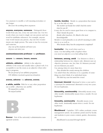Use anymore to modify a verb meaning nowadays or any longer.

*She won't be working there anymore.*

anyone, everyone, someone Distinguish these words from any one, every one and some one. Use two words when you want to single out one person and one word for indefinite references. For example, *anyone* (one word) means any person. *Any one* (two words) means any single person. The same is true for everyone and someone.

*Any one of the students will tutor you. Anyone can tutor you.*

### assistant/associate professor See professor.

assure See ensure, insure, assure.

athletic, athletics *Athletic* is the adjective. *Athletics* is the noun and usually takes a plural verb. It is acceptable to use the noun as an adjective when referring to programs.

*We are proud of our athletics programs. USF Athletics received a generous donation.*

### averse, adverse See adverse, averse.

**a while, awhile** With for or any other preposition use *a while* ; otherwise use *awhile*.

*We stayed for a while. We stayed awhile.*

B

**Banner** Part of the university's administration management systems.

**beside, besides** Beside is a preposition that means by or at the side of, near. *The mother sat beside her child's bed the entire time he was ill.* It may also be used to mean apart from or to compare to. *That's beside the point. Beside other teachers, Dr. Black is the most knowledgeable.* Besides is used primarily as an adverb meaning in addition to or as well as. *Who besides Mary has the assignment completed?*

**bestseller** One word when used as a noun. Use *best-selling* with a hyphen when you need an adjective as in *best-selling book*.

**between, among, amid** Use *between* to show a relationship between two objects only. *Between* uses an objective pronoun—me, her, him. It's *between you and me* not *between you and I*.

Use *among* when it's more than two.

*They divided the candy among the children.* Use *amid* when the reference is to a quantity of something you don't think of as individual items.

*The little boy was lost amid the crowd.*

**biannual, biennial** *Biannual* is twice a year and is a synonym for *semiannual*. *Biennial* is every two years. Do not hyphenate.

**bimonthly, semimonthly** *Bimonthly* means every other month. *Semimonthly* means twice a month. Do not hyphenate.

**biweekly, semiweekly** *Biweekly* means every other week. *Semiweekly* means twice a week. Do not hyphenate.

**Blackboard** Capitalize. USF's online academic course management system. An academic portal used by faculty and students to post course content, grades, discussions, etc.

*Blackboard is accessed through MyUSF.*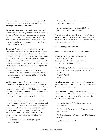When referring to a *whiteboard*, *blackboard* or *chalkboard*, lowercase and write as a single word. See also Enterprise Business Systems.

**Board of Governors** The Office of the Board of Governors is the governing body for the State University System of Florida. On first reference you may use the Office of the Board of Governors or Board of Governors. On subsequent references, you may use *board* (if it won't be confused with another board). Avoid using *BOG* in written materials.

**Board of Trustees** On first reference, acceptable ways to refer to the university's governing body include: the University of South Florida Board of Trustees and the USF Board of Trustees, using capitals. Use capital letters on first reference. On subsequent references, you may use *board* (if it won't be confused with another board) or *trustees*. Avoid using the acronym *BOT* in written materials. *Trustee* may be used as a title and is capitalized before a name:

*USF Trustee John Smith attended the meeting. John Smith is a member of the USF Board of Trustees. John Smith, a trustee since June 2012, attended the spring meeting.*

**boilerplate** Public relations/marketing term that refers to a standard description about an organization that is used for a variety of purposes: for example, as the last paragraph in a press release. USF's boilerplate is updated regularly to reflect the most current facts and statistics that distinguish USF. Current boilerplate is available on the University Communications & Marketing website.

**book titles** Capitalize the principal words of all books (including textbooks), including prepositions and conjunctions of four or more letters and the first and last words in the title. Place the name in italics. Use quotations for book chapters or individual sections. Note: if running text is already in italic, as it is below, place titles that would otherwise be italicized in Roman type.

*Please review* The Elements of Style *before coming to class.*

Webster's New World Dictionary *should be at every writer's fingertips.*

*In the* Best American Short Stories 2007*, my favorite story is T.C. Boyle's "Balto."*

Note: this style differs from AP style in that AP places books in quotations. USF style places book titles in italic and uses quotation marks around short poems, articles, stories or chapters of books.

See also composition titles.

**boys** Use *men* when referring to male students.

**bring, take** *Bring* implies a carrying to. *Bring the pencil to me. Take* implies similar action but away from. *Take the DVD back to the store.*

**broadcasting stations** Abbreviate the names of broadcasting stations omitting spaces and periods. *WUSF 89.7 WUSF 89.72 (HD) WUSF TV/DT*

building names Capitalize and spell out *building* when it is part of a proper name, but not when it stands alone or is used collectively.

Capitalize formal building names or accepted formal references to a building. On second reference, lowercase when proper name is not used. Also lowercase when using as a generic description.

*The Empire State and Chrysler buildings are in New York City.*

*The Honors College is located in the John & Grace Allen Building.*

*The Graduate School is located in the Allen building, as well.*

*My class is in Cooper Hall.*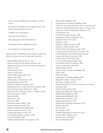*The tour group walked past the David C. Anchin Center.*

*My interview took place in the Alumni Center. The center is located near Fowler Ave.*

*I walked over to the library.*

*They met at the bookstore.*

*They had coffee in the USF Bookstore.*

*The Student Services Building is closed.*

*I'm working in an engineering lab.*

Formal names of buildings on the Tampa campus and official acronyms for use on university map keya.

Allen Building (John & Grace), ALN Alumni Center (Sam & Martha Gibbons), ALC Alzheimer's Center & Research Institute (Johnnie B. Byrd, Sr.), ALZ Anchin Center, DAC Andros Center, RAN Andros Office Classroom, AOC Argos Center, RAR Art Museum, Contemporary, CAM Baptist Student Center, BPT Baseball Complex & Dugouts, BCD Basketball Practice Center (Pam & Les Muma), BBP Beard Parking Garage (Richard A.), BDG Behavioral & Community Sciences, College of, MHC Behavioral Sciences, BEH Beta Hall, RBE Bio-Science, BSF Bookstore, BKS Botanical Gardens Office, GAR Business (Ferguson Hall), BSN Business Partnership Building, BPB Campus Business Services, AUX Campus Information Center, CIC CAS Multidisciplinary Complex, CMC Castor Hall (Betty), RBC Catholic Student Center (off campus), CTH

 CBCS CARD Building, MGY CBCS Research Classroom Building, MHF Center for Economic Education (Gus A. Stavros), CEE Center for Global Solutions (Dr. Kiran C. Patel), CGS Center for Urban Transportation Research, CUT Central Plant, CPT Central Receiving & Storage, CRS Champion's Choice Dining Hall, DIN Chapel Center @ USF, CHA Chemistry, CHE Children's Medical Services, CMS College of Public Health, CPH Collins Boulevard Parking Garage, CBG Communication & Information Sciences, CIS Continuing Education/Educational Outreach Cooper Hall (Arts & Sciences), CPR Credit Union, USF Federal, CRU Crescent Hill Parking Garage, CHG Crosswinds Wesley Foundation, WFC Cypress Apartments, RCC-RCD Cypress Suites, RCA-B Cypress Suites Commons Building, RCE Dance, FAD Delta Hall, RDE Department of Health Building, DHB Diagnostic Center, University, UDI Education, College of, EDU Educational Research Center (Preschool for Creative Learning), ERC Embassy Suites Hotel, ESH Engineering (Edgar W. Kopp), ENG Engineering Building II, ENB Engineering Building III, ENC Engineering Laboratory, ENL Engineering Research, ENR Engineering Teaching Auditorium, ENA Epsilon Hall, REP Eta Hall, RET Eye Institute, MDO Facilities Planning & Construction, FPC Faculty Office Building, FAO Family Center, USF, MGZ Fine Arts Building, FAH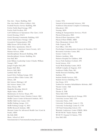Fine Arts - Dance Building, FAD Fine Arts Studio (Oliver Gallery), FAS Football Practice Service Building, FBS Fowler Fields Band Storage, FFB Fowler Field Pavilion, FFP Golf Clubhouse & Operations (The Claw), GCH Greek Housing, GVA-N Greek Housing Community Building, GKY Greek Maintenance Storage, GKX Grounds & Transportation, PPB Hillel House (B'Nai B'rith), HIL Holly Drive Apartments, HAA-M Hope Lodge - American Cancer Society, ACS Human Services, HMS Interdisciplinary Research Building, IDR Interdisciplinary Science Building, ISA Iota Hall, RIO Joint Military Leadership Center (Charles William Young), CWY Juniper Poplar Hall, JPH Kappa Hall, RKA Kosove Hall, RKO Lambda Hall, RLA Laurel Drive Parking Garage, LDG Lawton & Rhea Chiles Center, LRC Library, LIB Life Science (Biology), LIF Life Science Annex, LSA Lifsey House, PRS Magnolia Housing, MAA-H Maple Suites, MPA-D Maintenance & Service Shops, PPC Marshall Student Center (Student Union), MSC Moffitt Cancer Center & Research Institute, MCC Moffitt Child Care Center, CDC Moffitt Parking Garage, CCG Moffit Parking Garage #2, MGS Moffitt Research Institute, MRC Morsani Center for Advanced Health Care (Carol & Frank), MDH Mu Hall, RMU Music, School of, MUS Nanomaterials & Nanomanufacturing Research

Center, NTA Natural & Environmental Sciences, NES Northwest Educational Complex (Continuing Education), NEC Nursing, MDN Parking & Transportation Services, PTA-B Physical Education, PED Physical Plant Operations, OPM Physical Plant (FMHI), MHB Pizzo Elementary School, PIZ Pollo Tropical, FSB Post Office, USF, PPA Psychology/Communication Sciences & Disorders, PCD Recreation Activities Center, REC Science Center, SCA Shriners Auxiliary, SHA Shriners Hospital for Children, SHR Soccer Park Stadium (Corbett), SPS Social Science, SOC Social Work/Kinship Center, MGX Softball Complex & Dugouts, SCD Southeast Chiller Plant, SEC Stabile Research Building, SRB Stadium, STA Student Health Services, SHS Student Services Building, SVC Sun Dome, SUN Testbed for Assistive Rehabilitative Robotics, RRT Theatre Centre, TAR Theatre I, TAT Theatre II, THR Theta Hall, RTH Transportation Inspection & Storage, PPD University Lecture Hall, ULH University Police, UPB University Technology Center I, UTA University Technology Center II, UTB USF Patel Partnership School, CSC Westside Conference Center (FMHI), MHA WUSF-FM 89.7 Radio Station, WRB WUSF-TV Channel 16 Station, TVB Zeta Hall, RZE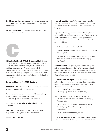**Bull Runner** Fare-free shuttle bus systems around the USF Tampa campus available to students faculty, staff and visitors.

**Bulls, USF Bulls** Commonly refers to USF's athletic teams. Always capitalize.



(Charles William) C.W. Bill Young Hall Houses the Joint Military Leadership Center (JMLC) and USF's ROTC programs. The four-story, 53,000 square-foot building is the university's most technologically advanced educational facility. It was named after Congressman C.W. Bill Young, a longtime supporter of USF and sponsor of the federal grant that helped provide funding for the center.

### Campus Names See USF System.

campuswide One word. Also: *citywide, countywide, statewide, nationwide* and *worldwide*.

An exception to this rule is if the word becomes long and cumbersome as in university-wide.

*They accepted the university-wide initiative.*

Another exception is **World Wide Web**. See also — wide.

**can, may** *Can* means the ability to do something. *May* means to ask, grant or deny permission.

See also **may**, **might.** 

capital, capitol *Capital* is a city. It may also be used as a financial term to describe money, equipment or property used in a business. In both instances, use lowercase.

*Capitol* is a building, either the one in Washington or other buildings that house governments. Capitalize when referring to the U.S. Capitol and the Capitol in Washington. Follow the same practice when referring to state capitol buildings.

*Tallahassee is the capital of Florida.*

*Congress and the Florida Legislature meet in buildings called capitols.*

*The march concluded on Capitol Hill, and the leaders then met with the President in the west wing of the Capitol.*

capitalization In general, avoid unnecessary capitals by capitalizing only when referring to an official name. Many words and phrases are listed separately in this guide. When in doubt, consult *Webster's New World College Dictionary (4th ed.)*

university, college: Capitalize *university* and *college* when they are part of an official name: the *University of South Florida, New York University, College of Business*. Lowercase when used as plurals. *Princeton and Yale universities The colleges of Business and Engineering*

Lowercase university and college on second references. *I earned my bachelor's degree at the University of South Florida.*

*The university has a strong liberal arts program. The College of Marine Science offers a rigorous curriculum.*

*The college has outstanding faculty.*

proper names, nouns: Always capitalize proper names and nouns that identify a specific person, place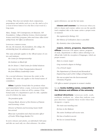or thing. This does not include short conjunctions, prepositions and articles such as *a, an, the, and* or *of* or a word of fewer letters if it is the first or last word in a long name.

*Mary, Tampa, USF Contemporary Art Museum, USF Foundation, College of Marine Science, Environmental Science and Policy program, John and Grace Allen Scholarship Fund, the Office of Admissions.*

Lowercase common nouns. *the city, the museum, the foundation, the college, the scholarship fund, the admissions office.*

This same principle applies to the official names of centers and institutes.

*the Center for Entrepreneurship*

*the Institute on Black Life*

*the Dr. Kiran C. Patel Center for Global Solutions*

*the Center for Urban Transportation Research the Joint Military Leadership Center*

On a second reference, lowercase the *center* or the *institute*. This same rule applies to the formal names of committees.

**titles:** Capitalize formal titles for positions when used immediately before a name. Lowercase formal titles when used alone or when set off by commas. If the formal name of a department is part of a title, capitalize even if it follows the name.

*The president spoke.*

*Vanessa Black, director of the Division of Patents and Licensing, is here.*

*Director of Patents and Licensing Susan Smith has arrived.*

*Rhea Law is president and chief executive officer of Fowler White Boggs Banker P.A.*

In news releases and articles, an individual's full name and title are used only on a first reference. On subsequent references, use just the last name.

classes and courses: Use lowercase when you refer to classes and courses, unless you use the specific (and complete) title or the name carries a proper noun or numeral.

*She registered for Biology 101. Her History of Civilization class is cancelled. My chemistry class is fascinating.*

majors, minors, programs, departments, **offices:** Lowercase USF majors, minors, programs of study, departments or offices unless referring to an official title (with the exception of languages, which are proper nouns).

*Mary is a music major.*

*Greg received a degree in biology.*

*I'm a French major.*

*The Department of Chemical and Biomedical Engineering is part of the College of Engineering.*

*She was accepted into the Environmental Chemistry Program.*

*USF offers a master's program in women's studies.*

See also **books; building names, composition ti**tles; divisions and affiliates of the university.

cardinal directions Lowercase north, south, northeast, northern, etc., when they indicate compass direction. Capitalize these words when they designate a region.

*The train was traveling west. He lives in the Midwest. The entire Northeast will receive rain. She has a Southern accent. We live in Central Florida.*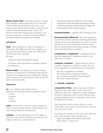(Betty) Castor Hall Commonly referred to as *Castor Hall*. Originally named Gamma Hall, one of USF's first residence halls and historically women-only, it was renamed Castor Hall in the fall of 2001 to honor the university's first female president, Betty Castor, USF's CEO from 1994-1999. During Castor's presidency, USF became recognized as a top-level research institution and added numerous programs and buildings.

### cell phone

chair Chair is preferred as a title, not chairman or chairwoman. This differs from AP style. Capitalize as a title only when used before a name as an official title and lowercase when used after the name.

*Chair Jane Smith will attend the meeting.*

*Dr. Brown, chair of the finance committee, will lead the discussion.*

Charit-a-Bull A USF tradition and student competition that is co-sponsored by USF Homecoming and USF Center for Civic Engagement and Volunteerism. Students create sculptures from canned goods, which are then donated to local food banks.

### classroom

co- Use a hyphen when forming nouns, adjectives and verbs that indicate occupation or status.

*co-chair co-sponsor co-host co-worker*

coed Do not use as a noun or to refer to female students. It is used to mean inclusive of both genders as in coed residence halls. Do not hyphenate.

colleges Use the official name of a USF college or school on a first reference and then lowercase the word *college* or *school* on a second reference.

*The majority of faculty members from the College of Education will be attending the meeting at which a number of graduate students from the college will be presenting current research projects.*

**Commencement** Capitalize when referring to USF.

Communicators Network The USF Communicators Network provides university marketing professionals with the resources and information they need to do their jobs effectively. The Communicators Network utilizes listserv announcements and monthly meetings to disseminate critical information to members.

complement, compliment *Complement* is something that supplements. *Compliment* is praise or the expression of courtesy.

compose, comprise *Compose* means to create or assemble. *Comprise* is to include or contain. You can write *composed of* or *consisted of* but not *comprised of*.

*The class is composed of 15 students. The United States is composed of 50 states. A zoo comprises mammals, birds and reptiles. The whole comprises the parts.*

### See include, comprise.

**composition titles** Italicize the names of: books, long works and compositions, works of art and art exhibitions, legal cases, magazines, journals, pamphlets, brochures, long poems, plays, movies, television series, television programs, musical compositions. Please note, this differs from AP Style.

Place quotation marks around chapters, stories, article titles, short poems, television show episodes and other short works.

If running text is already in italics, place these titles and other words usually in italics in roman type.

*My favorite chapter in Ken Black's latest book,*  All By Myself*, is "Time to Go."*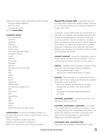Italicize the names of spacecraft, planes, ships and trains. *the space shuttle Challenger the U.S.S. Iowa the Spirit of St. Louis* See also book titles.

### computer terms

CD: compact disc CD-ROM chatroom database disk, diskette domain name DOS: disk operating system download, upload e-mail Ethernet home page hyperlink Internet ISP: Internet service provider JPEG LAN laptop listserv log on Macintosh offline, online PC: personal computer, PCs PDF PowerPoint **TIFF QuarkXPress** URL Web website Word World Wide Web (see Web words)

contractions In most non-academic writing, contractions make your text easier to read and more conversational in style. Unless a formalized construction helps emphasize the meaning of a sentence or phrase, use contractions and use them consistently.

**(Russell M.) Cooper Hall** Commonly referred to as Cooper Hall, it housed the original College of Liberal Arts at USF and is dedicated to its first dean, Russell M. Cooper (1907-1975).

A visionary, Cooper believed that the true function of a university is to stimulate critical thinking. He advocated a broad and interdisciplinary education. Cooper also served as assistant to the vice president for academic affairs, and director of USF's Center for World Order. He was honored not only for his educational accomplishments and contributions to the university, but for the kindness and inspiration he provided to students, faculty and staff, family and friends.

council, counsel *Council* is a deliberative body or elected officials and those who are members of it. To *counsel* means to advise someone or receive advice.

**county** Capitalize when referring to a specific county. Lowercase when referring to plural combinations. *USF is in Hillsborough County. The governor visited Polk and Pasco counties.*

**courses** When referring to a course, lowercase the name unless you are using a specific title; then capitalize the primary words in the title.

*The course, Road to the White House, provides students with an insider's view of the election process. I'm taking a criminology class and Chemistry for Today.*

currently, presently Currently means now. Presently means in the near future.

curricula, curriculum, curricular *Curriculum* is the singular form for a program of academic courses or learning activities (*the mathematics curriculum*). *Curricula* is the plural for curriculum. *Curricular* is the adjective form of curriculum as in *the Chemistry Department's curricular philosophy*.

### curriculum vita, curricula vitae

*Curriculum vita* is singular; *curricula vitae* is plural.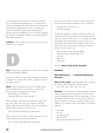A curriculum vita is a summary of one's personal history and professional qualifications. It is longer than a resume, containing more details about one's educational and academic backgrounds as well as teaching and research experience, publications, presentations, awards, honors and affiliations. It is used when applying for academic, education, scientific or research positions, fellowships or grants.

**cutlines** Photo captions. Use a period at the end of a cutline if it is a sentence.



data Plural noun, usually takes a plural verb. *The data have been carefully collected.*

If used as a collective noun, when the group or quantity is regarded as a single unit, it takes a singular verb as in *The data is sound*.

dates Always capitalize the names of months. Spell out the month when it is used alone or with a year alone, and do not separate with commas.

*My birthday is in February.* February 2008 was a snowy month.

When a month is used with a specific date, abbreviate *Jan., Feb., Aug., Sept., Oct., Nov. and Dec.* Spell out *March, April, May, June* and *July*. Always use numerals without suffixes such as st, nd, rd or th.

*Feb. 14 was the snowiest day of the month.*

When a phrase is used with a month, date and year, set both the date and year off with commas.

*Feb. 14, 2008, is the date of the new release.*

Do not use the word "on" before a date or day of the week when its absence would not lead to confusion.

*He begins his new job Nov. 23. I'll arrive Monday.*

To describe sequences of dates or inclusive dates, use a hyphen with no spaces between the hyphen and the characters instead of the word to or through. The same rule applies when referencing a span of years: use a hyphen and drop the first two numbers of the second year. If the years span a century change, use all four numbers of the second year.

*The box office is open Monday-Friday. The performance will run May 5-9. 1979-81 2002-04 1999-2003*

### See also: days of the week, decades.

### database

### Data Warehouse See Enterprise Business Systems.

days of the week Capitalize them. Do not abbreviate, except when needed in a tabular format: *Sun., Mon., Tue., Wed., Thu., Fri., Sat.*

decades Use numerals to indicate decades of history. Add an apostrophe when numerals are left out; show plural by adding the letter s but no apostrophe. Use an apostrophe before the year for class years or abbreviations to indicate the first two numbers of the year are omitted. Use a hyphen when connecting a word with a numeral.

*the 1890s the '90s the Roaring '20s the mid-1970s She graduated with the Class of '03.*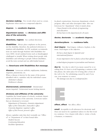**decision making** Two words when used as a noun. Hyphenate when used as a compound adjective.

degrees See academic degrees.

department names See divisions and affiliates of the university.

directions, regions See cardinal directions.

**disabilities** Always place emphasis on the person, not the disability; therefore, the preferred reference is *students with disabilities*. At USF, academic accommodations are made through Students with Disabilities Services (SDS). Avoid outdated terms such as *handicapped, challenged* or *invalid*. When writing about people with disabilities and referring to people without disabilities, avoid the term *normal* and use *able-bodied* instead.

### See Americans with Disabilities Act message.

diseases Lowercase *arthritis, emphysema, leukemia, migraine, pneumonia,* etc.

When a disease is known by the name of the person identified with it, capitalize only the individual's name.

*Alzheimer's disease Parkinson's disease*

disinterested, uninterested *Disinterested* means impartial. *Uninterested* means lacking interest.

### divisions and affiliates of the university

Capitalize the formal names of schools, academic departments and divisions of the university. Lowercase names that are shortened or reversed.

*Department of Chemistry, chemistry department Office of the Chancellor, chancellor's office University Registrar, registrar's office Office of the Provost, provost's office*

Always capitalize units that don't normally use "Office of" or "Department of" in their formal titles.

*Student Success Continuing Education Facilities Operations*

In plural constructions, lowercase department, school, program, office and other descriptive titles. Also use lowercase for "department" when it stands alone.

*I have friends in the schools of engineering and education. He has been in the department for 20 years.*

### doctor, doctorate See academic degrees.

dormitory/dorm See residence halls.

**dual degree** Dual degree, without a hyphen, is the noun. Dual-degree is the adjective.

*He has a dual degree in Spanish and international finance.*

*It was important to her to find a school that offered* 

*a dual-degree program in journalism and business.*

due to Use due to only if you mean caused by or resulting from. It's best to avoid beginning a sentence with this phrase, the safest place for it being after a form of the verb to be. Try substituting caused by and, if you can, your sentence is correct.

*The damage was due to a widespread fire.*



effect, affect See affect, effect.

**email** Acceptable in all references for electronic mail. Does not need to be capitalized unless it is the first word in a sentence. Use a hypen with other e- terms: e-book, e-business, e-commerce.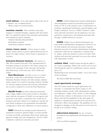**email address** If an email address falls at the end of a sentence, use a terminal period.

*Please contact us at www.usf.edu.*

emeritus, emerita Place *emeritus* (masculine, singular) or *emerita* (feminine, singular) after the formal title. Use *emeriti* for plural, both masculine and feminine and *emeritae* for plural, feminine.

*Professor Emeritus Howard Smith the professor emeritus Susan Jones, professor emerita*

ensure, insure, assure *Ensure* means to make certain. *Insure* means to protect against financial loss by means of a legal contract. *Assure* means to guarantee or convince.

Enterprise Business Systems Also known as EBS, these systems form part of the enterprisewide information systems of record for USF. These systems are critical to the operation of the university and include: Data Warehouse, eUSF team sites, FAST, GEMS and OASIS.

**Data Warehouse:** provides access to a central repository of data that is periodically extracted from Enterprise Business Systems and other primary administrative systems. It is used for reporting, analysis, DataMarts, decision support systems and executive information. An account is required to access the Data Warehouse.

MyUSF Portal: provides authorized personnel with a single, highly-secure point of entry to all applications (with the exception of OASIS) via one sign-on and password. It provides a customized view of just the information and tasks related to an employee's specific job and virtual workspaces for departments and individual workgroups to share and collaborate on various projects.

FAST: (Financial Accounting System) financial administrative system for general ledger, accounts payable accounts receivable, purchasing, fixed assets, grant management, budget and cash management. Access to FAST is limited to authorized university personnel.

GEMS: (Global Employment System) administrative and management system for personnel and payroll activities at USF. It is the primary source of information on positions, appointment information, payroll registers and budget summaries. Access to GEMS is limited to authorized university personnel, but all employees can view paychecks, request leave and maintain personnel data through a GEMS Self-Service account.

OASIS: (Online Access Student Information System) student administration management system for use by both students and university personnel. Supports functions necessary for student administration including admissions, financial aid, registration, academic history, degree, audit and student accounts receivable. Both students and university personnel can access the system with appropriate security.

**entitled, titled** Entitled means having the right to do or have something. Titled is the word to use if you're introducing the name of a publication, speech, musical piece, etc.

Membership in the association entitles you to free issues of the newsletter.

*The book is titled War and Peace.*

### equal opportunity messages

The USF System stands for equal opportunity and diversity—a community that shows respect to all including students, faculty, staff, administration, alumni and supporters. Vulgar, sexist, classist, or other language that provokes violence or dissension is not to be used. Please note that the guidelines in this style guide are applied to communications produced by and about the university's offices and programs. The guidelines are not designed to impinge on free discussion of such issues by faculty in an academic setting.

abbreviated statement: for use on forms. recruitment and employment advertisements and posters.

*USF is an EO/EA institution*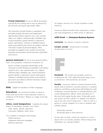**formal statement:** for use in official documents (specifically the catalog) and as may be directed by the Diversity and Equal Opportunity Office.

*The University of South Florida is committed to the principle of equal education and employment opportunities without regard to race, color, marital status, sex, religion, national origin, disability, age, sexual orientation, gender identity or expression, genetic information, Vietnam or disabled veteran status as provided by law and in accordance with the University's respect for personal dignity. These principles are applied in the conduct of University programs and activities and the provision of facilities and services.*

**general statement:** for use in most general publications, event programs, conferences invitations, etc.

*Events, activities, programs and facilities of the University of South Florida are available to all without regard to race, color, marital status, sex, religion, national origin, disability, age, sexual orientation, gender identity or expression, genetic information, Vietnam or disabled veterans status as provided by law and in accordance with the University's respect for personal dignity.*

ESOL English for Speakers of Other Languages.

**EthicsPoint** An anonymous hotline to report activities that may involve certain improper conduct or violations of USF Policies. Written as a single word with no spaces.

**ethnic, racial designations** Capitalize the proper names of nationalities, peoples, races, tribes. *Arab, Arabic, African, American,*

*Caucasian, Hispanic, Latin, Sioux*

Use a hyphen to designate dual heritage. *Polish-American a Japanese-American newspaper Mexican-American*

No hyphen, however, for French Canadian or Latin American.

Lowercase *black* and *white* when using them as ethnic and racial designations as either nouns or adjectives.

### eUSF Portal See Enterprise Business Systems

**everyone** See anyone, everyone, someone.

except, accept *Except* means to exclude. *Accept* means to receive.



**facebook** The world's most popular social networking web site. USF's official Facebook page can be accessed here: www.facebook.com/usf.edu

faculty Lowercase. Refers to tenured educators holding the rank of professor, associate professor, or assistant professor; and library professional staff holding the ranks of librarian, associate librarian, or assistant librarian; and central administrative officers, deans and directors, if they also hold regular faculty status. Technically speaking, faculty can take a plural or a singular verb depending on how the word is being used — either to refer to a group as a whole (singular) or to refer to members individually (plural)

*The faculty is present. The faculty agree to meet tomorrow.*

For the sake of clarity, rewrite the sentence to avoid a plural verb or use faculty members. When writing about individuals, use a *faculty member*.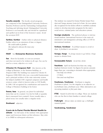**faculty awards** The faculty award programs are composed of the Distinguished University Professor, Emeritus Professor and the Outstanding Undergraduate Teaching and Advising Award. Distinguished University Professor is an honorific title and should be capitalized and spelled out in front of the honoree's name. Avoid the acronym DUP.

**farther, further** Farther refers to physical distance. Further refers to an extension of time or degree.

*He could walk no farther. She refused to discuss the issue any further.*

### FAST See Enterprise Business Systems

fax Short for facsimile, it is not an acronym and does not need to be written in all caps. Fax can be used as a noun, adjective or a verb.

**(Chester H.) Ferguson Hall** Also known as the *College of Business*, or the *business building*, or *Ferguson Hall*. The building was named for Chester H. Ferguson (1908-1983) who was a successful businessman and a principal architect of the state university system. He helped establish USF's regional campuses and health sciences center, which is known today as USF Health. In 1980, USF recognized his contributions and named its College of Business building in his honor.

**fewer, less** In general, use *fewer* for individual items that can be counted. Use *less* for bulk or quantity that is measured (not counted). Fewer usually takes a plural noun; less usually takes a singular noun.

firsthand adjective.

### (Louis de la Parte) Florida Mental Health In-

**stitute** Use full name of the institute with appropriate upper and lowercase letters on first reference. May refer to as *FMHI* on subsequent references.

The institute was named for former Florida Senate President and Tampa attorney Louis de la Parte. He was nationally recognized for his tireless efforts to establish academic centers to develop innovative programs for the state's social service, criminal justice and education systems.

foreign students The preferred phrase is *international students*. International Services is the main administrative and immigration advising office at USF for international students.

forbear, forebear To *forbear* means to avoid or shun. A *forebear* is an ancestor.

forego, forgo To *forego* means to go before. *Forgo* means to abstain from.

foreseeable future Avoid this cliché.

**fractions** Spell out fractions less than one, using hyphens between words. Use figures for precise amounts larger than one, converting to decimals when appropriate.

*One-half, two-thirds 1.5 liters One and one-half liters*

freshman, freshmen *Freshman* is singular. *Freshmen* is plural. Use the singular as an adjective as in *freshman* class, *freshman* year. Other alternatives are: *incoming students* or *first-year class*.

FTIC Stands for *first time in college*. These are students who are the first in their families to attend college.

Fulbright Always takes an initial cap: a *Fulbright research grant*.

### fundraising, fundraiser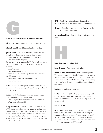

### **GEMS** See Enterprise Business Systems

**girls** Use *women* when referring to female students.

global world Avoid this redundant wording.

**good, well** *Good* is an adjective that means something is as it should be or is better than average.

*She still looked good even after all these years. The cookies smelled good.*

Do not use *good* as an adverb. *Well* is an adverb and is used to describe an activity. It means in a satisfactory manner.

*Sue sings well.*

*The class did well on the SAT.*

It may also be used as an adjective to mean healthy, suitable or proper.

*My neighbor looks well even though he has been quite ill.*

GPA Stands for *grade point average*. Write out for external audiences. USF's grade point average is based on a 4.0 scale.

**graduated** Graduated from is the correct usage. *He graduated from USF in 1991. The College of Medicine graduated 100 students. (Not: He graduated USF.)*

Graphicstudio Founded in 1968, *Graphicstudio* is a USF-based workshop that has attracted leading international contemporary artists over the years who have created hundreds of limited edition fine arts works in the studio. *Graphicstudio*, with the Contemporary Art Museum and the Public Art Program, form the Institute for Research in Art.

**GRE** Stands for Graduate Record Examination. *GRE* is acceptable on a first reference. Do not use periods.

**Greek** Capitalize when referring to fraternity and sorority communities on campus.

**groundbreaking** One word as an adjective or as a noun.



### handicapped See disabled.

**health care** Two words, no hyphen.

Herd of Thunder (HOT) USF's marching band. The band debuted at the football season home opener against Southwest Texas State on Sept. 11, 1999. The band's unique entrance to the field began as a running "stampede" that day, and the tradition has continued ever since.

**his/her** Avoid this construction.

historic, historical *Historic* means having or likely to have lasting significance; important as in a historic occasion. *Historical* means based on history as in a historical novel.

See also **a. an.** 

**HIV** Since HIV stands for human immunodeficiency virus, to say HIV virus is redundant. AIDS (acquired immune deficiency syndrome) is the disease caused by HIV, so the two acronyms are not interchangeable. It is okay to use the acronym, HIV, on a first reference. *They are conducting HIV research.*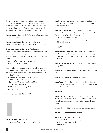**Homecoming** Always capitalize when referring to *USF Homecoming* as a noun or as an adjective, i.e., *Homecoming* week, *Homecoming* activities. Homecoming is scheduled during football season and is called *SuperBull*, followed by the numeric succession.

**home page** Two words. Refers to the front page of a particular Web site.

**honors and awards** Capitalize official names including the word *award* if it is part of the formal name.

### Distinguished University Professor

Overall Businesswoman of the Year, Education Category Lowercase *cum laude, magna cum laude* and *summa cum laude*. It is not necessary to offset with commas.

*Sam received a bachelor's degree summa cum laude in mathematics.*

**hopefully** The original meaning of this word is in a hopeful manner, or full of hope. It's correctly used as an adverb and, ideally, should not be used to mean it is hoped or I hope.

Incorrect: *Hopefully, the weather will hold for the picnic tomorrow.* Correct: *I hope the weather will hold for our picnic tomorrow.* Correct: *She asked hopefully if she could borrow the car.*

### housing See residence halls.



**imply, infer** *Imply* means to suggest or indicate indirectly. To *infer* is to conclude or decide from something known or assumed.

**include, comprise** Use include to introduce a series when the items that follow are only part of the total. Use comprise when the full is given.

*The price includes breakfast. The school comprises kindergarten through fifth grade classes.*

### in-depth

**Information Technology** Capitalize when using as the official name of the central information technology division for USF. May use *IT* on second and subsequent references.

**inpatient, outpatient** One word as either a noun or adjective.

**instructor** Term used to refer to adjunct faculty members.

insure See ensure, insure, assure.

**interface** You really mean work together or interact, so just avoid *interface*, which really makes a better noun than it does a verb.

### Internet

**intranet** Lowercase. An *intranet* is a private computer network that uses Internet technology in which access is restricted to members of a particular organization or company.

**irregardless** There is no such word. Use regardless.

### italics See composition titles.

**its, it's** *Its* is a possessive pronoun. *The cat is lost. Its collar is missing.* It's is the contraction for it is. *It's time to leave.*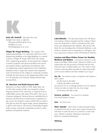

### kick off, kickoff *Kick off* is the verb. *Kickoff* is the noun or adjective. *The game will kick off at 1 p.m. Kickoff is at 1 p.m. The kickoff party is at 1 p.m.*

**(Edgar W.) Kopp Building** The campus's first engineering building, it is commonly referred to as the *Engineering Building* or the *Kopp Building*. It is named in honor of Edgar W. Kopp (1926-1979) who began USF's engineering programs. He developed the college's academic programs and physical facilities and actively encouraged student organization development. Eleven engineering student organizations were established during his tenure. Kopp also nurtured and supported early involvement by the college in community activities. Probably the best known is the Engineering EXPO, held at U SF annually each February during National Engineering Week.

### (A. Harrison and Ruth) Kosove Hall

Referred to as *Kosove Hall*. In 1999, Alpha Hall, one of USF's first residence halls, was renamed to honor long-time friends of the university, A. Harrison Kosove (1898-1988) and his wife, Ruth (1912-1997). The son of a Russian immigrant, Harrison Kosove established the A. Harrison and Ruth Kosove Endowment in gratitude for the success his adopted country enabled him to achieve. This gift was then the largest single, private philanthropic gift in USF's history. The Kosove Scholarship Program makes annual, renewable scholarship awards to undergraduate and graduate students.

L Lake Behnke The lake that borders the USF Botanical Gardens, Shriners Hospital and the College of Medicine was dedicated in 1994 to esteemed teacher, physician and administrator Roy Behnke, MD and his wife Ruth. He was founding chair of Internal Medicine, a role model to students and an inspiration to colleagues. She was a generous volunteer in the USF Botanical Gardens.

Lawton and Rhea Chiles Center for Healthy **Mothers and Babies** Commonly referred to as the *Lawton and Rhea Chiles Center*. Opened in 2002, it was named after the late governor of Florida and his wife, both advocates of infant health care. The center is dedicated to reducing infant mortality by improving health care for poor mothers and their children up to age 5.

**lay, lie** *Lay* means to place or deposit, and requires a direct object.

*Lay the book on the table. I will lay the pillow on the bed. Lie* means to be in a reclining position or to be situated. It does not take an object (lie, lay, lain, lying). *Go lie down and take a nap.*

lectern, podium You stand on a podium. You stand behind a lectern.

less See fewer, less.

**libel, slander** Libel refers to injury through written or printed form and, in some states, injury broadcast by television or radio because it is carried to a wide audience. Slander is spoken, defamatory statements. Both are considered defamation.

### lifelong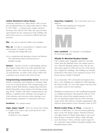### (Julian Hawthorn) Lifsey House

Commonly referred to as Lifsey House, USF's on-campus presidential home was named after Julian H. Lifsey, Jr. (1917-1989) — a Tampa lawyer, banker and land developer who with his wife, Mary Ann, gave the principal donation for the construction of the building. The Lifsey House serves as a location for official university functions.

**like** Use *such* as instead of *like* to cite examples.

**like, as** Use like as a preposition to compare nouns and pronouns. It requires an object. *Tom plays the trumpet like a pro.*

*As* is a conjunction that introduces clauses and phrases. *The watermelon tasted cold and sweet as I thought it would.*

**listserv** A generic term for e-mail-handling software that enables contact lists to be easily maintained and updated. Many USF e-mails lists are open so members can self-subscribe. An index of the various online USF e-mail lists can be found on the USF web site.

living-learning communities (LLCs) Residential student communities with emphasis on academic major or an area of special interest. USF's living-learning commuities include Bulls Business, Engineering, Education, Global Citizenship, Green, Honors, Pre-Nursing, Leadership, ROTC, Transfer, ZAP (Mass Communications) and Wellness. Capitalize when referring to the program on a first reference and lowercase when referring to any living-learning community on subsequent references.

locations See campus names.

login, logon, logoff These are nouns when written as a single word. Log in, log on and log off are verbs. *My login failed. I will log in to my computer.*

**long time, longtime** One word when used as an adjective.

*We have been studying for a long time. They are longtime friends.*



man, mankind Use humanity or humankind See nonsexist language.

### (Phyllis P.) Marshall Student Center

USF's student union. Originally called the University Center, then the Marshall Center, the student union is now called the Marshall Student Center. The first student union opened in 1960 and was one of the university's original five buildings. The building was formally dedicated in 1994 when it was renamed in honor of its former director, Phyllis P. Marshall.

To accommodate USF's substantial development since then, a new building was completed in 2008 replacing the former facility. It is one of the largest and most modern student centers in the Southeast.

Marshall was long known as USF's unofficial housemother, confidant and mentor. She joined the staff of U SF in 1960 as the school's first resident instructor. In 1961, she was appointed program director of the University Center and in 1965, director of student organizations. Marshall was named director of the University Center in 1975.

Martin Luther King, Jr. Plaza Commonly referred to as MLK Plaza, it is the best known gathering place on the USF Tampa campus. Named for famous civil rights leader Dr. Martin Luther King Jr., the scenic plaza features a memorial to King, a large reflecting pool, the famous "I Have a Dream" speech engraved on a wall and a long, trellised colonnade leading to the Marshall Student Center.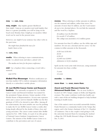#### may See can, may.

may, might *May* implies greater likelihood than *might*. *I may go on vacation next week* implies that there is a greater possibility you will be lying on the beach next Monday than *I might go on vacation*. Either word can be used in the present tense.

However, use *might* if your sentence has other verbs in the past tense.

*She might have finished the race if it hadn't been so hot.*

### See can, may.

**media** When referring to mass communications, media is a plural noun and takes a plural verb.

*The media are here for the press conference.*

**mid** Use a hyphen when connecting a word with a numeral.

*mid-1970s*

MoBull Plus Messenger Wireless notification system that enables USF to deliver emergency information directly to a subscriber's mobile phone.

### (H. Lee) Moffitt Cancer Center and Research

**Institute** The nationally recognized H. Lee Moffitt Cancer Center and Research Institute was named for the prominent Tampa attorney, former speaker of the Florida House of Representatives, 10-year state representative and a cancer survivor himself. Moffitt was the first graduate of USF to be elected to state office. Among all his achievements, the most notable one was his pushing to make the H. Lee Moffitt Cancer Center a reality after being deeply affected by the deaths of three close and young associates. The cancer center named after Moffitt opened in Nov. 1986. Today, it is part of an elite group of National Cancer Institute Comprehensive Cancer Centers. The mission of the Moffitt Cancer Center is to contribute to the prevention and cure of cancer.

**money** When referring to dollar amounts in millions, use the numeral and million, rather than zeros. For amounts of more than \$1 million, use the \$ and numerals up to two decimal places. Do not link the numerals and the word by a hyphen.

*\$6 million (not \$6,000,000) It is worth \$7.45 million. The college was awarded a \$13 million grant.*

For amounts less than \$1 million, use the dollar sign and numbers. Do not use a decimal and two zeros. Use the comma in dollar amounts in the thousands.

*\$150 (not \$150.00) \$9.50 \$150.25 \$3,000 (not \$3000) Admission is \$2 for students.*

Spell out the word *cents* with lowercase, using numerals for amounts less than a dollar.

*5 cents 12 cents*

months See dates.

more than See over, more than.

(Carol and Frank) Morsani Center for Advanced Health Care The six story facility is located on USF's Tampa campus at Holly and Magnolia avenues. The center combines world-class health care with a state-of-the-art building designed to help facilitate learning in health teams.

One of the nation's most successful automobile dealers, Frank Morsani is a community leader in the Tampa Bay region, and is the former chairman of the U.S. Chamber of Commerce. Due to the couple's total giving to USF, the university honored them by renaming the medical college the USF Health Morsani College of Medicine Dec. 8, 2011.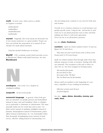**multi** In most cases, when used as a prefix, no hyphen is needed.

*multicultural multimillion multimillionaire multimedia*

myriad Originally, this word meant ten thousand, but it now means numerous or a great number. Proper use does not include the preposition of (a myriad of) nor should it be made plural (myriads).

*Greg has myriad chicken pox on his face.*

MyUSF USF's academic portal which provides access to Blackboard. Written with initial lowercase. See also Blackboard.

N **nondegree** One word. Use a hyphen in *nondegree-seeking*.

nonprofit Avoid *not-for-profit*.

**nonsexist language** In general, when both genders are intended, use *people, persons* and *humankind* instead of *man, men* and *mankind*. *Chair* or *chairperson* is preferable to *chairman* or *chairwoman*. The same principle holds true for words that end in *man*. Use *letter carrier* instead of *mailman, firefighter* instead of *fireman, businessperson* instead of *businessman, police officer* instead of *policeman*, etc. Use *homemaker* rather than *housewife, housekeeping service* instead of maid service, effective selling instead of salesmanship. It is

also becoming more common to use actor for both men and women.

Overall, try to construct sentences to avoid having to use gender-specific terms. Using he/she and his/her is awkward; try to use plural pronouns such as they and their making sure there is verb/noun agreement. Never use he as an all-inclusive pronoun.

See also **chair, freshman.** 

**numbers** Spell out whole numbers below 10 and use figures for 10 and above.

*They have two four-room houses and 12 three-room houses and 12 10-room houses.*

Spell out ordinal numbers first through ninth when they indicate sequence in time or location. Starting with 10th, use numerals. The exception to this rule is when 1st, 2nd, 3rd, etc. has been assigned in forming names.

*She teaches first grade. He was third in line. He is part of the 7th Fleet. The 1st Ward was hit the hardest.*

Always spell out numbers at the beginning of a sentence, regardless of any resulting inconsistency.

*Fifty-four women and 48 men received degrees.*

See also ages, dates, decades, money, percent, time.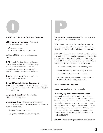## O OASIS See Enterprise Business Systems

off campus, on campus Two words, but hyphenate before a noun.

*He lives on campus. He lives in an off-campus apartment.*

**online, offline** Always written as one word.

OPS Stands for *Other Personnel Services*. One of four pay plans at USF. OPS employees are temporary or part-time. This is an internal-oriented acronym and should be avoided in writing to an external audience.

**Oracle** *The Oracle* is the name of USF's official student newspaper.

### Osher Lifelong Learning Institute at

USF Write out on first reference. Shorten to OLLI-USF on subsequent references. Preferred reference is to *OLLI* rather than *Osher*.

outpatient, inpatient One word as either a noun or adjective.

**over, more than** *Over* is an adverb referring to direction and spatial relationship; *more than* refers to numbers or amounts.

*The plane flew over the house.*

*USF offers more than 100 master's degrees.*

P Park-n-Ride As in *Park-n-Ride lots*, remote parking along the Bull Runner shuttle route.

PDF Stands for portable document format. A PDF is a popular way of formatting documents so they can be viewed or printed on multiple platforms without changing.

**percent** Always use numerals (including the numbers 1-9) and spell out the word *percent* in text. *Percent* takes a singular verb when standing alone or when a singular word follows an "of" construction. Use a plural verb when a plural word follows an "of" construction.

*The teacher said 60 percent was a failing grade.*

*He said 50 percent of the membership was there.*

*He said 3 percent of the members were there.*

*PhD The preferred form for PhD is to say a person holds a doctorate in (their field of study).*

See also **academic degrees.** 

**physician assistant** No apostrophe.

### (Anthony P.) Pizzo Elementary School

Commonly referred to as Pizzo Elementary, it is a public school on the southernmost corner of the USF Tampa campus. It was named for the late Hillsborough County historian Anthony P. Pizzo, popularly known as Tony, who was the city's laureate historian, lecturer, author and storyteller. In honor of his historical contributions to USF's library and the community, Pizzo Elementary School was named for him when it was dedicated in 1998.

**plurals** Don't use an apostrophe on plurals such as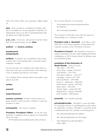CEUs, CDs, DVDs, PhDs, twos and threes, MBAs, HMOs, etc.

plus Don't use *plus* as a substitute for *besides, and, also* or *in addition to*. Avoid using *plus* to introduce an independent clause as in *She is a great flute player plus she knows how to play the piano.*

**p.m., a.m.** Lowercase, with period. Avoid the redundant *8 a.m. this morning*. See also time.

podium See lectern, podium.

### postdoctoral postgraduate

**prefixes** In general, do not hyphenate when using a prefix with a word starting with a consonant: *pretax, nonprofit, coworker*.

For the most part, use a hyphen if the prefix ends in a letter that is the same as the first letter of the following word: *re-engineer, pre-election, non-native*.

Use a hyphen if the word that follows the prefix is capitalized: *non-USF*.

### prelaw

### premed

### preprofessional

**premier, premiere** *Premier* is first in status or a prime minster or chief executive. *Premiere* is a first performance or show.

**prerequisite** One word, no hyphen.

President, President's Office In text, the word president is capitalized when it appears as a formal title before the name.

*USF President Judy Genshaft spoke at the ceremony.*

On a second reference, it is lowercase.

*The president also answered questions from the audience.*

*He is running for president.*

The exception is if the title comes after the name in a formal listing or as a closing in a letter.

President Judy L. Genshaft Took office in July 2000. She is USF System president, USF president and corporate secretary of the USF Board of Trustees.

President's Council The *President's Council* recognizes individuals who have made significant financial contributions to USF. It honors donors for lifetime, annual and planned giving.

### presidents of the University of

**South Florida** Terms of service: John Allen – 1957-1970 Harris Dean – interim, 1970-1971 Cecil Mackey – 1971-1976 Wm. Reece Smith, Jr. – 1976-1977 Carl Riggs – interim, 1977-1978 John Lott Brown – 1978-1988 Francis T . Borkowski – 1988-1993 Robert Bryan – interim, 1993-1994 Betty Castor – 1994-1999 Thomas Tighe – acting, fall 1999 Richard Peck – interim, 1999-2000 Judy Genshaft – 2000-present

**presently** See currently, presently.

principal/principle *Principal* is a noun and adjective meaning someone or something first in rank, authority, importance or degree. *Principle* is a noun that means a fundamental truth, law, doctrine or motivating force.

*The school principal gave the address.*

*She is the principal dancer in the troupe.*

*They disagreed over the principle of states' rights.*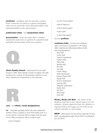**professor** Capitalize only if it precedes a proper name. Lowercase if it refers to a generic description and is not an actual title. Treat *associate professor* and *assistant professor* in the same manner.

### publication titles See composition titles.

**punctuation** Leave one space after a terminal punctuation mark such as a period or a question mark and before the first letter of the next sentence.

Q

**Quiet Quality Award** Implemented by the Staff Senate in 1996, Quiet Quality Awards recognize USF staff members for a variety of characteristics related to work ethic, attitude and contributions to the university.

## R race See ethnic, racial designations.

re- Generally speaking, follow the rules outlined in prefixes where a hyphen is used if the prefix ends in a vowel and the word that follows begins with the same vowel. Make exceptions where it makes sense.

*recover (regain)*

*re-cover (cover again) reform (improve) re-form (form again) resign (quit) re-sign (sign again)*

See also **prefixes.** 

residence halls Use the term *residence halls*, not dorms or dormitories. USF Tampa offers students the following residence halls and housing options:

Beta Hall Castor Hall Cypress Apartments Cypress Hall Delta Hall Epsilon Hall Eta Hall Iota Hall Greek Village Holly Apartments Juniper-Poplar Hall Kappa Hall Kosove Apartments Lambda Hall Magnolia Apartments Maple Hall Mu Hall Theta Hall Zeta Hall

Rocky, Rocky the Bull The name of the Brahman bull that is the official mascot of USF athletics. Written approval from USF Athletics is required before his image can be used in any written materials or advertising.

RSVP Abbreviation for the French *répondez sil vous plaît*, meaning *please reply*. Please RSVP is redundant; just say *RSVP*.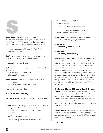

said, says For the most part, when writing a news story and using a quote, *said* is the preferred style. However, *USF Magazine* uses the active voice, *says*, unless describing a dated event. Either way, be consistent.

*Speaking at last month's gala, Smith said, "I'm honored to be here."*

SAT Stands for Scholastic Aptitude Test. *SAT* is acceptable on a first reference. Do not use periods.

### says, said See said, says.

scholar Lowercase except when used with named scholarships.

*USF Presidential Scholars Award National Hispanic Scholars*

**scholarship** Lowercase except when used with proper names. *Joe applied for the USF Honors College Scholarship.*

Mary received a scholarship.

### School of Accountancy

**Search-A-Bull** Searchable database of all USF cours- $\rho_{\rm S}$ 

seasons Lowercase *spring, summer, fall,* and *winter* unless part of a formal name or designates the issue of a periodical. Capitalize semester seasons that are year-specific.

*I will register in the spring.*

*The Winter Olympics begin in a few months.*

*The Fall 2012 issue of USF Magazine is now available.*

*She will take classes in the fall semester.*

*Beginning Fall 2012, all students must register using the new system.*

**semesters** Lowercase references to semesters in text. *She will teach during the fall semester.*

semimonthly See **bimonthly, semimonthly.** 

semiweekly See biweekly, semiweekly.

**(Terrell) Sessums Mall** The area of campus between the library and the University Lecture Hall formerly known as Elm Street Mall and renamed Terrell Sessums Mall on Oct. 29, 1999. USF's popular weekly flea market is held here.

Terrell Sessums, a Tampa attorney, is best known for his outstanding service promoting higher education as a state representative and speaker of the house and then as a member and chair of the Florida Board of Regents that governs the State University System. He played a strategic role in establishing USF's College of Medicine and Nursing.

### (Hinks and Elaine) Shimberg Health Sciences

Library The USF Health and Sciences Library, founded in 1971, was renamed in 1998 for Mandell "Hinks" and Elaine Shimberg, philanthropists who donated \$1 million to expand its resources for the greater medical community. Hinks is a leader in real-estate development and Elaine was an actress who now is an award winning medical author.

social media Refers to tools that allow the sharing of information and creation of communities through online and mobile networks of people. (ADD USF social media comment from Jenna)

### someone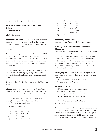See anyone, everyone, someone.

Southern Association of Colleges and **Schools** See **accreditation**.

staff Lowercase.

**Stampede of Service** An annual event that offers students an opportunity to give back to the community by volunteering their time, skills and compassion to charitable, not-for-profit and government beautification programs.

The first, large organized volunteer effort started at USF in 2002, when the Center for Civic Engagement and Volunteerism began sponsoring events such as the Reverend Dr. Martin Luther King Jr. Day of Service during which approximately 200-350 students took part in volunteer activities.

Building on that achievement, the USF Stampede of Service was created officially in January 2006 to celebrate the Martin Luther King holiday and the importance of volunteerism.

The Stampede of Service draws more than 2,000 students annually.

**states** Spell out the names of the 50 United States when they stand alone in the text. Abbreviate using AP, not postal rules, when citing a city and a state together.

A few states are always spelled out: Alaska, Hawaii, Idaho, Iowa, Maine, Ohio, Texas and Utah.

*We live in the state of Florida.*

*He lives in Tampa, Fla.*

| Ala.   | Ariz.      | Ark. | Calif. |
|--------|------------|------|--------|
| Colo.  | Conn. Del. |      | Fla.   |
| Ga.    | Ill.       | Ind. | Kan.   |
| $Kv$ . | La.        | Md.  | Mass.  |

| Mich. | Minn. | Miss. | $M_{O.}$             |
|-------|-------|-------|----------------------|
| Mont. | Neb.  | New.  | N.H.                 |
| N.J.  | N.M.  | N.Y.  | $N_{\cdot}C_{\cdot}$ |
| N.D.  | Okla. | Ore.  | Pa                   |
| R.I   | S.C.  | S.D.  | Tenn.                |
| Vt.   | Va.   | Wash. | W.Va.                |
| Wis.  | Wγ0.  |       |                      |

### stationary, stationery

*Stationary* means fixed or still. *Stationery* is paper.

### (Gus A.) Stavros Center for Economic **Education**

Referred to as the *Stavros Center*, the building is named for its donor, Gus A. Stavros, a supporter of both education and free enterprise system. Stavros started and operated the largest business forms company in the Southeast and played an active role on the university's Foundation Board. In donating to build the center, Stavros aimed at making its mission to educate future leaders about free enterprise.

strategic plan Capitalize when referring to the *USF Strategic Plan*. Lowercase when referring to a shortened reference.

*The USF Strategic Plan is on the website. The trustees approved the plan.*

study abroad Do not hyphenate study abroad. *USF offers many study abroad programs. Next summer I will study abroad. She is going to study abroad for a semester. USF's study abroad program is extensive.*

such as Use such as instead of like to cite examples.

**Sun Dome** USF's 10,000-seat sports arena and home to the university's men's and women's basketball teams. A \$35.6 million major renovation to the 250,000-squarefoot arena, completed in May 2012, includes a center-hung LED video scoreboard, a hospitality and view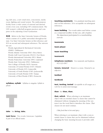ing club area, a new retail store, concessions, media room, lighting and sound system. The multi-purpose facility hosts a wide variety of external and internal events every year, including USF commencement. The USF women's volleyball program practices and competes in the adjoining Corral Gymnasium.

SUS Refers to the State University System of Florida, which consists of 11 public universities throughout the state. Use State University System on first reference and SUS on second and subsequent references. The universities are:

Florida Agricultural & Mechanical University (FAMU): Tallahassee Florida Atlantic University (FAU): Boca Raton Florida Gulf Coast University (FGCU): Fort Myers Florida International University (FIU): Miami Florida Polytechnic University (FPU): Lakeland Florida State University (FSU): Tallahassee New College of Florida (NCF): Sarasota University of Central Florida (UCF): Orlando University of Florida (UF): Gainesville University of North Florida (UNF): Jacksonville University of South Florida (USF): Tampa University of West Florida (UWF): Pensacola

syllabus, syllabi Syllabus is singular. Syllabi is plural.

T take See bring, take.

task force Two words, lowercase. Capitalize if part of an official name.

teaching assistants Use *graduate teaching assistant* on first reference. *TA* is acceptable on subsequent references.

**team building** Two words unless used before a noun as a compound modifier. In that case, add a hyphen. *The department participated in a teambuilding exercise.*

teammate

team player

### team teaching

### teamwork

**telephone numbers** Use numerals and hyphens. *813-123-4567*

tenure, tenured *Tenure* is a noun. *Tenured* is an adjective.

### testbed

#### textbook

text, texting, texted Acceptable in all usages as a verb for *to send a text message*.

than See then, than.

**that, which** When referring to an inanimate object with an essential clause (a clause that cannot be eliminated without changing the meaning of the sentence) use the word *that* to introduce the clause. *That* clauses do not need commas.

*I like food that is hot and spicy.*

When referring to an inanimate object with a non-essential clause (a clause that can be eliminated without changing the basic meaning because it provides addi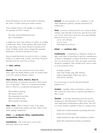tional information), use the word *which* to introduce the clause. A *which* clause goes inside commas.

Non-essential clauses in the middle of a sentence are typically set off by commas.

*The team, which finished last a year ago, is in first place.*

A simple test: Once your sentence is written, try reading it without the clause. If the sentence still means about the same thing, your clause should be introduced by which. If taking out the clause changed the meaning drastically, it should be introduced by that.

Keep in mind that when you need to refer to a human being (or an animal with a name), any clause should be introduced by the word who or whom.

### See who, whom.

**theater** This is the preferred word in the United States unless the British *theatre* is part of a formal name as in USF's *School of Theatre & Dance*

### their, theirs, there, there's, they're

*Their* and *theirs* are possessive pronouns. *There* means "in or at that place." *There's* is a contraction meaning there is. *They're* is a contraction meaning they are.

*Their mother is leaving. The money is theirs. The restaurant is over there. There's no time to wait. They're going to the game.*

**then, than** *Then* is related to time; if one thing follows or results from another, use then. *Than* is used when making comparisons.

### titles See academic titles, capitalization, composition titles.

**touchdown** One word, but it occurs in the *end zone*, which is two words.

toward It's not *towards*, so no s. Similarly, it's *forward, backward, upward, onward, downward*, etc. without the *s*.

time Lowercase with periods for *a.m.* and *p.m.* When writing a time that falls on the hour, state the hour with a.m. or p.m. and avoid *o'clock*. Use *noon* and *midnight*, instead of 12 p.m. or 12 a.m.

*2 p.m. (not 2:00 pm) 11 a.m.-noon Class begins at 8:30 a.m.*

### titled See entitled, title.

**trademarks** A trademark is a distinctive symbol, design, word, letter or brand that is used by a manufacturer or dealer to distinguish a product from those of competitors. It is protected by law. They are proper nouns and should be capitalized. They should not be used as verbs or in the possessive form.

Examples include: *Astro-Turf, Frisbee, Jeep, Jello, Kleenex, Listserv, Liquid Paper, Ping-Pong, Velcro, VISA, Xerox, Zip drive*

It is not necssary to use the speicial trademark symbol  $\mathbb{R}$  or  $^{TM}$ .

**trustee** Capitalize when used before a name as a title. Lowercase when used as a generic description or after a name.

**Twitter** A real-time information network used for sharing news and information. Twitter users send and read small bursts of information called *tweets*. The verb is to *tweet*, *tweeted*. Capitalize Twitter as a proper noun.

*Twitter has revolutionized the way people find news.*

*Jenna sent 24 tweets today.*

*Vickie tweeted every day while traveling in London.*

*Read USF's Twitter feed at twitter.com/usfnews.*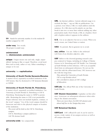

U# Stands for university number. It is the student ID number assigned by USF.

under way Two words. *The project is under way.*

uninterested See disinterested, uninterested.

**unique** *Unique* means one and only, single, unparalleled, having no like or equal. Therefore, avoid modifiers such as truly, rather or very. Either something is unique or it's not.

### university See capitalization.

### University of South Florida Sarasota-Manatee

A master's-level, separately-accredited institution of the USF System. May be shortened to *USF Sarasota-Manatee* or *USFSM*.

### University of South Florida St. Petersburg

A master's-level, separately accredited institution. Use *University of South Florida St. Petersburg or USF St. Petersburg*. Shortening the name to *USFSP* is permissible. Shortening the name to *USF* is not permissible. Proper reference does not include hyphens, commas, or the word "campus." Use of the word campus should be lowercase and refer to the physical campus or location of the institution.

*The event will be held on the USF St. Petersburg campus. USF St. Petersburg's campus address is 140 7th Avenue South.* 

university-wide See campuswide.

URL An Internet address. Current editorial usage is to exclude the http:// tag on URLs in publications. Use a period, even when a URL or e-mail address ends the sentence. If a URL does not fit entirely on one line, break it into two or more lines without adding any other punctuation mark. Don't break a URL at a hyphen. Don't add a hyphen unless it appears in the address.

**U.S.** Use as an adjective but not as a noun. When you need a noun, use United States or nation.

USA No periods. But in general, try to avoid.

use, utilize Use *use*. *Utilize* is the awkward verb form of an obsolete adjective, utile.

USF Refers to the doctoral-granting research campus centered in Tampa, including its College of Marine Science in St. Petersburg and USF Health. Use *University of South Florida* on first reference. *USF* is an acceptable short form on subsequent references. Do not use the word *the* with the abbreviated form, USF; however use the with the long form.

*They attend the University of South Florida. USF is a top Florida school. She's enrolled in classes at USF's College of Education.*

USF.edu The official Web site of the University of South Florida.

**USF Alumni Association** Capitalize on first reference. Lowercase on subsequent references when referring to the alumni association.

*There are more than 212,000 USF alumni and about half live in the Tampa Bay area.*

### USF Botanical Gardens

USFCard USF's official ID card. It can be used to access a wide variety of on-campus services as well as off-campus discounts.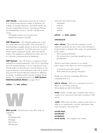USF Health A partnership formed by the University of South Florida Morsani College of Medicine, the Colleges of Nursing, Pharmacy, and Public Health; the Schools of Biomedical Sciences, and Physical Therapy and Rehabilitation Sciences; and the USF Physicians Group.

*USF Health's mission is to envision and implement the future of health.*

USF Magazine USF's flagship publication, it presents stories that raise the profile of the university by demonstrating a tangible impact on the local, national or international community. Each full-color issue is sent to 40,000 alumni, supporters, faculty, staff, and opinion leaders. The magazine is published four times per year by University Communications & Marketing.

**USF System** The USF System is composed of three separately accredited institutions: USF, USF St. Petersburg and USF Sarasota-Manatee. Use the *University of South Florida System* on first reference and *USF System* on subsequent references. Each institution (USF, USF St. Petersburg and USF Sarasota-Manatee) indicates its affiliation by stating: "*A Member of the University of South Florida System."* For complete information see **USF System** Definitions/Style Sheet on pages 46-49.

utilize See use, utilize.

W Web words All references to the Web, itself, are capitalized. *Web World Wide Web Web page Web service Web browser*

Lowercase these Web words: *webmaster webcam webcast website*

### which See that, which.

### whiteboard

who, whom The word who substitutes for the subjective pronouns he, she or they when referring to human beings or animals with a name. It is grammatically the subject.

*Who is going to the party? The woman who is wearing a purple hat is my grandmother.*

*Whom* is used when someone (or an animal with a name) is the object of a verb or preposition.

*To whom do you wish to speak? With whom are you going to the party?*

Simple test: *who* does something; *Whom* has something done to it.

who's, whose Who's is a contraction for who is. Whose is a possessive pronoun. *Whose laptop was left in the library?*

**wide-** (prefix) Usually takes a hyphen when used as a prefix as in: wide-eyed, wide-open. Exception: widespread.

-wide (suffix) Does not take a hyphen when used as a suffix as in: campuswide, citywide, nationwide, statewide. Exception: university-wide.

world-class worldwide workplace work-study Use a hyphen, not a slash.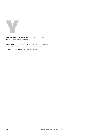

**you're, your** *You're* is a contraction for you are. *Your* is a possessive pronoun.

YouTube Popular multi-media/video sharing Web site. *The USF Channel on YouTube can be accessed here: www.youtube.com/user/USFchannel.*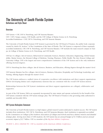## The University of South Florida System Definitions and Style Sheet

### **Overview**

USF System = USF, USF St. Petersburg, and USF Sarasota-Manatee. USF = USF's Tampa campus, USF Health, and the USF College of Marine Science in St. Petersburg. Accredited Institutions = USF, USF St. Petersburg, and USF Sarasota Manatee

The University of South Florida System (USF System) is governed by the USF Board of Trustees, the public body corporate created by Article IX, Section 7 of the Constitution of the State of Florida. The USF System is composed of three separately accredited institutions, USF, USF St. Petersburg, and USF Sarasota-Manatee. USF includes the main research campus in Tampa, its College of Marine Science in St. Petersburg, and USF Health.

USF has 14 colleges: Arts & Sciences, Behavioral & Community Sciences, Business, Education, Engineering, Global Sustainability, Marine Science, the Morsani College of Medicine, Nursing, Pharmacy, Public Health, The Arts, Honors College and University College. USF is the largest and most comprehensive institution of the USF System and is the only institution offering doctoral degrees.

USF St. Petersburg has three colleges: Arts & Sciences, Business, and Education, offering degrees through the master's level.

USF Sarasota Manatee has five colleges: Arts & Sciences, Business, Education, Hospitality and Technology Leadership, and Nursing, offering degrees through the master's level.

The USF System embraces a unified vision of cooperative excellence with institutions and direct support organizations (DSOs) developing distinct and complementary missions that are consistent with the overall USF System mission.

Relationships between the USF System's institutions and direct support organizations are collegial, collaborative and supportive.

As part of the USF System, DSOs are separately incorporated by state statute and operate exclusively for the benefit of the USF System consistent with the USF System strategic plan. The USF Board of Trustees is the governing entity authorized to establish and decertify DSOs.

### USF System Boilerplate Statement

*The University of South Florida System is a high-impact, global research system dedicated to student success. The USF System includes three institutions: USF, USF St. Petersburg, and USF Sarasota-Manatee. Each institution is separately accredited by the Commission on Colleges of the Southern Association of Colleges and Schools and has a distinct mission and detailed strategic plan. Serving more than 47,000 students, the USF System has an annual budget of \$1.5 billion and an annual economic impact of \$3.7 billion. USF is a member of the Big East Athletic Conference.* 

*ON JULY 1, 2013, CHANGE TO: USF is a member of the American Athletic Conference.*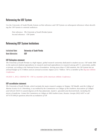## Referencing the USF System

Use the University of South Florida System on first reference and USF System on subsequent references when describing the USF System to external audiences.

First reference: *The University of South Florida System* Second reference: *USF System*

## Referencing USF System Institutions

Institutional Name: University of South Florida Name Abbreviation: USF

### USF Boilerplate statement:

*The University of South Florida is a high-impact, global research university dedicated to student success. USF ranks 50th in the nation for federal expenditures in research and total expenditures in research among all U.S. universities, public or private, according to the National Science Foundation. Serving more than 47,000 students, the USF System has an annual budget of \$1.5 billion and an annual economic impact of \$3.7 billion. USF is a member of the Big East Athletic Conference.* 

*ON JULY 1, 2013, CHANGE TO: USF is a member of the American Athletic Conference.* 

### USF accreditation statement:

*The University of South Florida, which includes the main research campus in Tampa, USF Health, and the College of Marine Science in St. Petersburg, is accredited by the Commission on Colleges of the Southern Association of Colleges and Schools (SACS) to award degrees at the baccalaureate, master's, specialist and doctoral levels, including the doctor of medicine. Contact the Commission on Colleges at 1866 Southern Lane, Decatur, Georgia 30033-4097 or call 407-679-4500 for questions about the accreditation of USF.*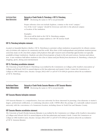| Institutional Name:<br>Name Abbreviation: | University of South Florida St. Petersburg or USF St. Petersburg<br><b>USFSP</b><br>Shortening the name to USF is not permissible                                                           |  |  |
|-------------------------------------------|---------------------------------------------------------------------------------------------------------------------------------------------------------------------------------------------|--|--|
|                                           | Proper reference does not include hyphens, commas or the word "campus."<br>Use of the word "campus" should be lowercase and refer to the physical campus<br>or location of the institution. |  |  |
|                                           | Examples:<br>The event will be held on the USF St. Petersburg campus.<br>USF St. Petersburg's campus address is 140 7th Avenue South.                                                       |  |  |

*\_\_\_\_\_\_\_\_\_\_\_\_\_\_\_\_\_\_\_\_\_\_\_\_\_\_\_\_\_\_\_\_\_\_\_\_\_\_\_\_\_\_\_\_\_\_\_\_\_\_\_\_\_\_\_\_\_\_\_\_\_\_\_\_\_\_\_\_\_\_\_\_\_\_\_\_\_*

### USF St. Petersburg boilerplate statement:

*Located on beautiful Bayboro Harbor, USF St. Petersburg is a premier urban institution recognized for its vibrant community of scholars who improve its community and the world. More than 4,600 undergraduate and graduate students pursue university study on the close-knit campus with professors that offer research and scholarship opportunities not typically available at larger institutions. Students can select from programs of study in the arts and sciences, business and education. A new residence hall allows students to live close to classes and just blocks from downtown St. Petersburg, a haven for shopping, sports, dining and entertainment.*

### USF St. Petersburg accreditation statement:

*The University of South Florida St. Petersburg is accredited by the Commission on Colleges of the Southern Association of Colleges and Schools (SACS) to award degrees at the baccalaureate and master's levels. Contact the Commission on Colleges at 1866 Southern Lane, Decatur, Georgia 30033-4097 or call 407-679-4500 for questions about the accreditation of USF St. Petersburg.*

Institutional Name: University of South Florida Sarasota-Manatee or USF Sarasota-Manatee Name Abbreviation: USFSM *Shortening the name to USF is not permissible*

*\_\_\_\_\_\_\_\_\_\_\_\_\_\_\_\_\_\_\_\_\_\_\_\_\_\_\_\_\_\_\_\_\_\_\_\_\_\_\_\_\_\_\_\_\_\_\_\_\_\_\_\_\_\_\_\_\_\_\_\_\_\_\_\_\_\_\_\_\_\_\_\_\_\_\_\_\_*

### USF Sarasota-Manatee boilerplate statement:

USF Sarasota-Manatee is a comprehensive, four-year university for those interested in pursuing a baccalaureate or master's degree, professional certification, or continuing education credit. USFSM offers the prestige of a nationally ranked research university with the convenience of a hometown location, including classes in North Port and Manatee County.

### USF Sarasota-Manatee accreditation statement:

*The University of South Florida Sarasota-Manatee is accredited by the Commission on Colleges of the Southern Association of Colleges and Schools (SACS) to award degrees at the baccalaureate and master's levels. Contact the Commission on Colleges at 1866 Southern Lane, Decatur, Georgia 30033-4097 or call 407-679-4500 for questions about the accreditation of USF St. Sarasota-Manatee.*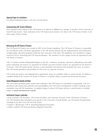### Approved logos for institutions

For official institutional logos, visit www.usf.edu/brand.

### Communicating USF System Affiliation

Each institution and campus in the USF System is to indicate its affiliation by stating: "A member of the University of South Florida System." Each institution in the USF System must include a live link to the USF System website on the home page of their website.

### Referencing the USF Board of Trustees

The USF Board of Trustees was created in 2001 by the Florida Legislature. The USF Board of Trustees is responsible for cost-effective policy decisions appropriate to the USF System mission and the implementation and maintenance of high-quality education programs within the laws and rules of the state. The legislature also mandated a campus board for USF St. Petersburg and USF Sarasota-Manatee. The members of each campus board are appointed by the USF Board of Trustees.

*\_\_\_\_\_\_\_\_\_\_\_\_\_\_\_\_\_\_\_\_\_\_\_\_\_\_\_\_\_\_\_\_\_\_\_\_\_\_\_\_\_\_\_\_\_\_\_\_\_\_\_\_\_\_\_\_\_\_\_\_\_\_\_\_\_\_\_\_\_\_\_\_\_\_\_\_\_* 

USF's 13 trustees include distinguished figures in the law, commerce, medicine, education, philanthropy and public policy leadership. Six trustees are appointed by Florida's governor and five trustees are appointed by the Board of Governors. The USF System faculty advisory council president and student body president also serve as trustees. The USF System president and president of USF serves as corporate secretary.

USF System governance and administration organization charts are available online at system.usf.edu. In addition, a complete listing of the current USF Board of Trustees is available online at system.usf.edu/board-of-trustees.

### System Management Councils and Chairs

The USF System president grants system-wide authority to the USF System vice presidents as appropriate. USF vice presidents with system-wide authority and responsibilities chair USF System management councils consisting of representatives from all USF institutions. A complete listing of current USF System advisory council leaders is available online at system.usf.edu/system-councils.

### Institutional Campus Leadership

• Judy Genshaft, USF President, USF System President, and Corporate Secretary of the USF Board of Trustees Use *USF President Judy Genshaft* in text specific to the University of South Florida, use *USF System President Judy Genshaft* in text that covers the full USF System.

- Sophia T. Wisniewska, USF St. Petersburg Regional Chancellor
- Arthur Guilford, USF Sarasota-Manatee Regional Chancellor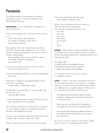## Punctuation

For detailed guidance on punctuation, consult the punctuation section in the back of *Webster's New World College Dictionary*.

**apostrophe** Use an apostrophe to indicate that a noun is possessive.

If the noun is singular, add *'s* even if the word ends in s, z or x.

*Sue's book, Kansas's best restaurant, the campus's emergency system, Butz's policies, Marx's theories.*

An exception to this rule would be Jesus and Moses and other classical names ending in the "eez" sound. To these add just the apostrophe. The same is true for business and goodness.

*Jesus' teachings, Moses' journey, Pericles' oration the College of Business' procedures for goodness' sake*

If the noun is plural but does not end in an *s*, add *'s*. *men's room, children's toys*

If the noun is plural and ends in *s*, add only the apostrophe. *girls' books*

If the noun is singular in meaning but plural in form, add only an apostrophe. *measles' effects, United States' wealth*

If something is owned jointly, use an apostrophe with the last noun only.

*John and Mary's house*

To show individual possession, make all nouns possessive. *Ted's and Bob's jobs are interesting.*

Do not add an apostrophe to nouns that are not possessive even if they are plural. *The Smith's live next door*  should be *The Smiths live next door.*

Do not use an apostrophe with plural abbreviations such as *MBAs, SATs, or HMOs* or dates as in *1960s*.

When it comes to possessive pronouns, the preceding

rules about apostrophes generally apply. *others' feelings, someone's voice*

Here is a list of possessive pronouns, however, that DO NOT need an apostrophe. They indicate possession all on their own: *my, mine*

*our, ours your, yours their, theirs his, her, hers its whose*

**bullets** When bullets are used to introduce individual sections of a list, there should be at least one space between the bullet and the item. Capitalize the first word following the bullet.

### *The college offers:*

- *Opportunities for meaningful research*
- *Personalized attention from professors*
- *Collaboration with other disciplines*

Use a period at the end of the item only if it is a complete sentence.

colon A colon is used most commonly to introduce a list or a series when the list is preceded by a complete sentence. It is also used to offer additional information or amplification. If a complete sentence follows the colon, capitalize the first letter of the first word.

*USF offers numerous degree programs: biology, chemistry, anthropology, mathematics and music, to name just a few.*

*There was only one thing she felt compelled to accomplish over the weekend: weed the garden.*

*Joe achieved much during his lifetime: He ran a successful business, raised a family, and served his community.*

Do not use a colon to separate a verb and its complement or object or a preposition and its object: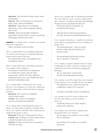*Incorrect: You will need to bring: sheets, towels and blankets.*

*Correct: These are the things you will need to bring: sheets, towels and blankets.*

*Incorrect: Study abroad is a wonderful opportunity to learn about: language, lifestyle and cuisine.*

*Correct: Study abroad offers significant opportunities to learn about a country: specifically, its language, lifestyle and cuisine.*

comma In a simple series, a comma is not needed before the conjunction.

*I like to eat pasta, steak and salad.*

Place a comma before the concluding conjunction in a series if the last item is a compound idea that requires *and* as part of the item.

*He ordered salad, bread, and spaghetti and meatballs for dinner.*

Place a comma before the concluding conjunction in a complex series of phrases.

*The primary considerations for admissions are whether the students meet the GPA requirements, whether they have sufficient standardized test scores, and whether they have produced outstanding essays.*

Use a comma before a conjunction such as *and, but, for, or, nor, because* or *so* when the conjunction joins two clauses that could stand alone as separate sentences.

*Incorrect: The concert was delightful, and the soloist superb. Correct: The concert was delightful, and the soloist performed superbly.*

Use a comma after a long introductory clause or phrase, if a short phrase would be confusing without it, or if a pause is intended. The comma may be omitted if the phrase is short.

*Incorrect: Tomorrow, I will register for classes. Correct: After working so hard for weeks without a break, he finally took a vacation. Correct: As usual, I took the dog to the park on Saturday morning.*

Always use a comma with an introductory participle (the *"ing"* form of a verb), as well as phrases that give a reason or condition and begin with *although, though, because, and despite the fact that*.

*Driving through the mountains, she marveled at their beauty.*

*Although the fire drill consumed half of the class, the teacher still administered the test.*

Use a comma to introduce a complete one-sentence quote within a paragraph but not for an indirect or partial quote.

*The quarterback said, "I have no doubt that the weather played a big factor in the game today."*

*The quarterback said that the weather was a "big factor in the game."*

Use a comma to separate adjectives that are equally important. (In other words, the commas can be replaced by the word *and* without changing the meaning.)

*She is a methodical, careful writer. She did a thorough spring cleaning.*

Use a comma to set off a phrase that is not essential to the sentence. If it is essential, do not use commas. *The registration form, which was long and complicated, needed to be notarized.*

*The knife on the table needs to be sharpened*

Use commas to set off a word or phrase that says the same thing as a word or phrase next to it.

*I heard the famous poet, Maya Angelou, speak at the conference.*

Use commas to set off words or phrases that interrupt the flow of a sentence.

*The shortstop, in my opinion, had a terrible throw to first base.*

*Joe and Mary, for example, are excellent musicians.*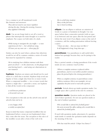Use a comma to set off transitional words like *however* and *moreover*.

*They did not need to use insect repellent during the day. During the evening, however, they applied it liberally.*

dash Use an em (long) dash to set off a word or phrase that interrupts the main thought or is used for emphasis. Put a space on both sides of a dash.

*While trying to navigate the city traffic — a new experience for her — her cell phone rang. I'll loan you my new car — when pigs fly!*

Dashes can also be used when a phrase that otherwise would be set off by commas contains a series of words that must be separated by commas.

*We're studying how children interact with their peers at school — in the classroom, on the playground and during lunch — and using our observations in our research.*

**hyphens** Hyphens are joiners and should not be used when it's a dash that is needed. Hyphens help avoid ambiguity or form a single idea from two or more words. When a compound modifier — two or more words that express a single idea — precedes a noun, use hyphens to link all the words in the compound.

*a well-known politician a brownish-red coat*

Two exceptions to this rule are the adverb *very* and all adverbs that end in *ly*.

*a very happy child a widely accepted fact*

Keep in mind that many compound modifiers that are hyphenated before a noun are not hyphenated when they come after the noun. The exception to this rule is if the modifier occurs after a form of the verb *to be*.

*She is a full-time student. Mary works full time. Sue is hard-working.*

**ellipsis** Use an ellipsis to indicate an omission of words or a pause or hesitation in thought. Use one space before three consecutive periods (with no spaces in between) and one space after the last period and before the next word. If an ellipsis comes at the end of a sentence, add the ending punctuation without leaving a space.

*"I have an idea ... but you may not like it." It all happened a long, long time ago ....*

parentheses Use parentheses to add useful information but sparingly because they can be jarring to the reader.

Place a period outside a closing parenthesis if the words inside are not a sentence *(such as this)*.

*(When a complete sentence is placed within parentheses, and it is not within another sentence, place the period before the closing parenthesis.)*

*When a complete sentence in parentheses comes within a sentence (this is an example), do not capitalize the first word or end with a period.*

**periods** Periods always go inside quotation marks. Use a single space after a period at the end of a sentence.

**question marks** Ouestion marks are placed at the end of direct questions. Do not use question marks at the end of indirect questions.

*Who would like to attend the football game? He went around the office asking who would like to attend the football game.*

If used with quotation marks, placement of a question mark inside or outside the quotation marks depends on the meaning of the text.

*Who has read the article "I Hope You Dance"?*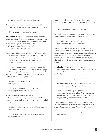*He asked, "Can I borrow your biology notes?"*

The question mark supersedes the comma that is normally used when offering attribution for a quotation.

*"Why do you want to know?" she asked.*

**quotation marks** Use quotation marks around a direct quotation. Periods and commas at the end of the quotation are placed inside the quotation marks; commas used to begin the quotation do not.

*He said, "I liked the performance." "I liked the performance," he said.*

Other punctuation marks such as the dash, the semicolon, the question mark and the exclamation point, are placed inside the quotation marks only if they are part of the quote. Place them outside when they apply to the whole sentence.

If a quotation continues into the next paragraph, do not put closed quotation marks at the end of the paragraph in which it begins. Do put open quotation marks at the start of the second paragraph and use closed quotation marks at the end of the quoted text.

*The doctor said, "I am amazed by your quick recovery.*

*"In fact, your complete and full recovery is nothing short of miraculous."*

The exception to this rule is if the part of the quotation that is in the introductory paragraph is not a full sentence. In this case, place closed quotations at the end of the paragraph.

*The doctor said that he was "amazed by the patient's quick recovery."*

*"In fact, his complete and full recovery is nothing short of miraculous."*

Quotation marks may also be used when needed to show irony, quaintness, or an unconventional use of a word or phrase.

*Their "negotiations" ended in a fist fight.*

When placing a quotation within a quotation, alternate between double and single quotation marks.

*Joe's mother said, "If your father were here, he would say, 'Give it your best.'"*

Quotation marks are used around the titles of short works such as: articles, essays, poems, short stories, songs, chapters, newspaper and magazine articles, song titles, television show episodes and parts of longer works. (Italicize the titles of long works: books, magazines, plays, movies, television series, symphonies and operas.)

semicolon When you want to keep two independent clauses closely linked, a semicolon can be used instead of a coordinating conjunction such as *or, and* or *but*.

*We were awestruck; she finished the marathon.*

A semicolon can also be used to separate items in a series when the items are long or contain commas.

*I invited a number of special guests to the conference: the governor, who will give the keynote address; the mayor, who will present the awards; and the president of the chamber of commerce.*

A semicolon may also be used to link independent clauses connected by *however, moreover, therefore, consequently, nevertheless, nonetheless* and *otherwise*.

*She is a star athlete; however, her grades need some attention.*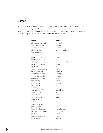## Jargon

Jargon is speech or writing having unusual or pretentious vocabulary, convoluted phrasing and vague meaning. Some frequently used words and phrases are actually vague or awkward. Here are some of those words and phrases and recommendations for expressing the idea in a way that is clearer, less pretentious and not redundant.

### Weak **Better**

absolutely essential essential adequate enough enough advance planning blanning almost never seldom, hardly ever a majority of most a number of some some at the conclusion of after at the present time now at this point in time at this point, at this time, now be responsible for handle by means of by come to a conclusion conclude definite decision decision despite the fact that although due to the fact that because during the time that while first priority briority for this reason because general rule rule heads up head in a number of several, many in many cases often in most cases usually in some cases sometimes in order to to in the course of during in the event that if join together join major breakthrough breakthrough necessary requirement requirement prior to before reach a conclusion conclude the fact that because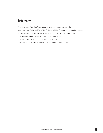## References

The *Associated Press Stylebook Online* (www.apstylebook.com/usf\_edu) *Grammar Girl, Quick and Dirty Tips for Better Writing* (grammar.quickanddirtytips.com) *The Elements of Style*, by William Strunk Jr. and E.B. White, 3rd edition, 1979 *Webster's New World College Dictionary*, 4th edition, 2002. *Woe Is I*, by Patricia T . O 'Connor, trad edition, 1998.  *Common Errors in English Usage* (public.wsu.edu/~brians/errors/)